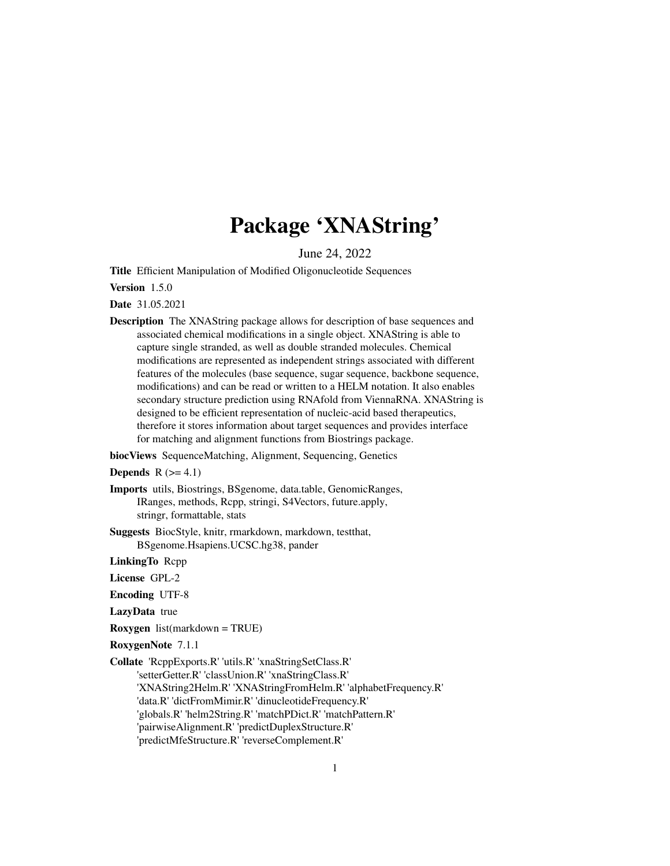# Package 'XNAString'

June 24, 2022

<span id="page-0-0"></span>Title Efficient Manipulation of Modified Oligonucleotide Sequences

Version 1.5.0

Date 31.05.2021

Description The XNAString package allows for description of base sequences and associated chemical modifications in a single object. XNAString is able to capture single stranded, as well as double stranded molecules. Chemical modifications are represented as independent strings associated with different features of the molecules (base sequence, sugar sequence, backbone sequence, modifications) and can be read or written to a HELM notation. It also enables secondary structure prediction using RNAfold from ViennaRNA. XNAString is designed to be efficient representation of nucleic-acid based therapeutics, therefore it stores information about target sequences and provides interface for matching and alignment functions from Biostrings package.

biocViews SequenceMatching, Alignment, Sequencing, Genetics

**Depends**  $R$  ( $>= 4.1$ )

Imports utils, Biostrings, BSgenome, data.table, GenomicRanges, IRanges, methods, Rcpp, stringi, S4Vectors, future.apply, stringr, formattable, stats

Suggests BiocStyle, knitr, rmarkdown, markdown, testthat, BSgenome.Hsapiens.UCSC.hg38, pander

LinkingTo Rcpp

License GPL-2

Encoding UTF-8

LazyData true

Roxygen list(markdown = TRUE)

RoxygenNote 7.1.1

Collate 'RcppExports.R' 'utils.R' 'xnaStringSetClass.R' 'setterGetter.R' 'classUnion.R' 'xnaStringClass.R' 'XNAString2Helm.R' 'XNAStringFromHelm.R' 'alphabetFrequency.R' 'data.R' 'dictFromMimir.R' 'dinucleotideFrequency.R' 'globals.R' 'helm2String.R' 'matchPDict.R' 'matchPattern.R' 'pairwiseAlignment.R' 'predictDuplexStructure.R' 'predictMfeStructure.R' 'reverseComplement.R'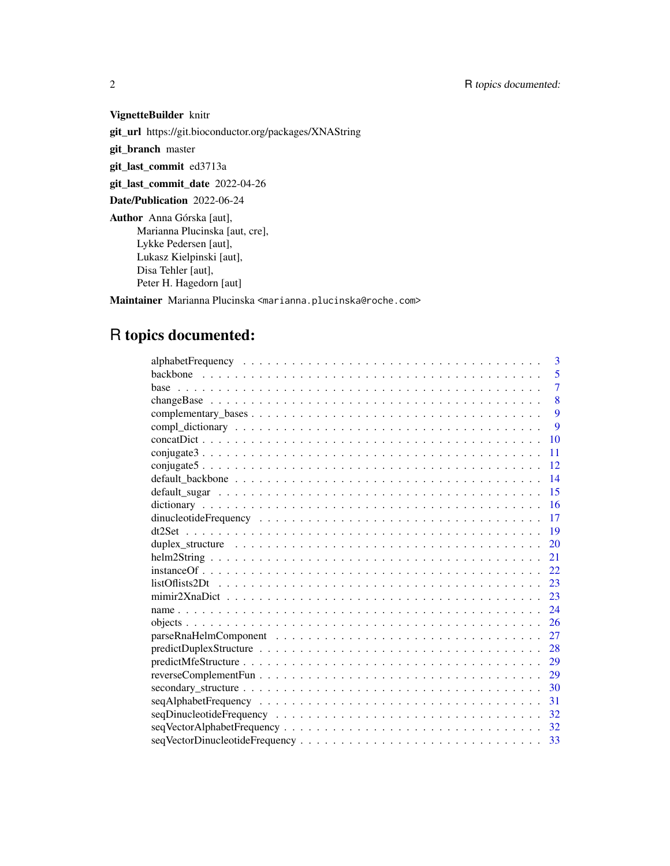# VignetteBuilder knitr

git\_url https://git.bioconductor.org/packages/XNAString

git\_branch master

git\_last\_commit ed3713a

git\_last\_commit\_date 2022-04-26

Date/Publication 2022-06-24

Author Anna Górska [aut], Marianna Plucinska [aut, cre], Lykke Pedersen [aut], Lukasz Kielpinski [aut], Disa Tehler [aut], Peter H. Hagedorn [aut]

Maintainer Marianna Plucinska <marianna.plucinska@roche.com>

# R topics documented:

| 3                                                                                                                       |
|-------------------------------------------------------------------------------------------------------------------------|
| 5                                                                                                                       |
| $\overline{7}$                                                                                                          |
| 8                                                                                                                       |
| 9                                                                                                                       |
| 9                                                                                                                       |
| 10                                                                                                                      |
| 11                                                                                                                      |
| 12                                                                                                                      |
| 14                                                                                                                      |
| 15                                                                                                                      |
| 16                                                                                                                      |
| 17                                                                                                                      |
| 19                                                                                                                      |
| 20                                                                                                                      |
| 21                                                                                                                      |
| 22                                                                                                                      |
| $listOf lists2Dt \dots \dots \dots \dots \dots \dots \dots \dots \dots \dots \dots \dots \dots \dots \dots \dots$<br>23 |
| 23                                                                                                                      |
| 24                                                                                                                      |
| 26                                                                                                                      |
| 27                                                                                                                      |
| 28                                                                                                                      |
| 29                                                                                                                      |
| 29                                                                                                                      |
| 30                                                                                                                      |
| 31                                                                                                                      |
| 32                                                                                                                      |
| 32                                                                                                                      |
| 33                                                                                                                      |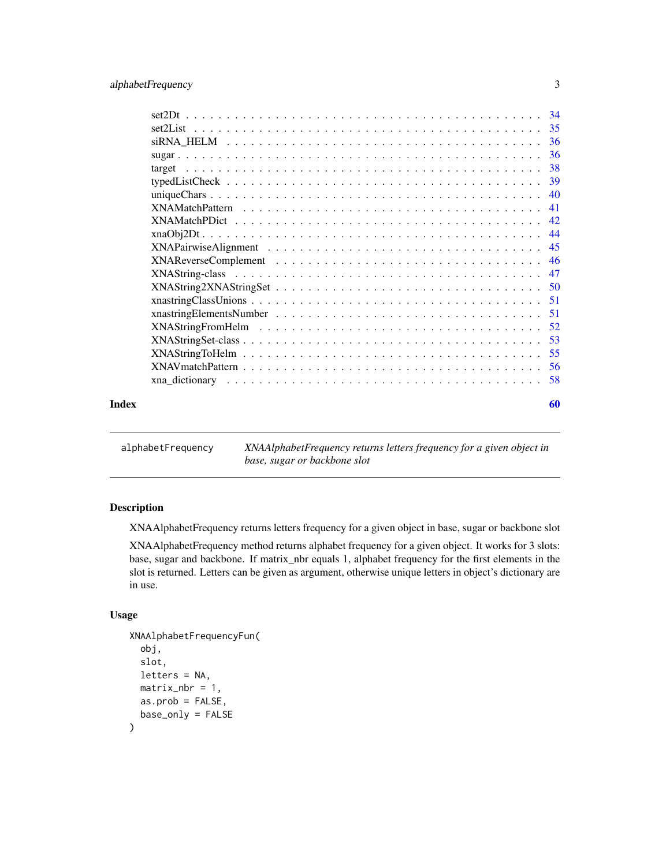# <span id="page-2-0"></span>alphabetFrequency 3

| Index | 60 |
|-------|----|

alphabetFrequency *XNAAlphabetFrequency returns letters frequency for a given object in base, sugar or backbone slot*

# Description

XNAAlphabetFrequency returns letters frequency for a given object in base, sugar or backbone slot

XNAAlphabetFrequency method returns alphabet frequency for a given object. It works for 3 slots: base, sugar and backbone. If matrix\_nbr equals 1, alphabet frequency for the first elements in the slot is returned. Letters can be given as argument, otherwise unique letters in object's dictionary are in use.

```
XNAAlphabetFrequencyFun(
  obj,
  slot,
  letters = NA,
  matrix\_nbr = 1,
  as.prob = FALSE,
  base_only = FALSE
\mathcal{E}
```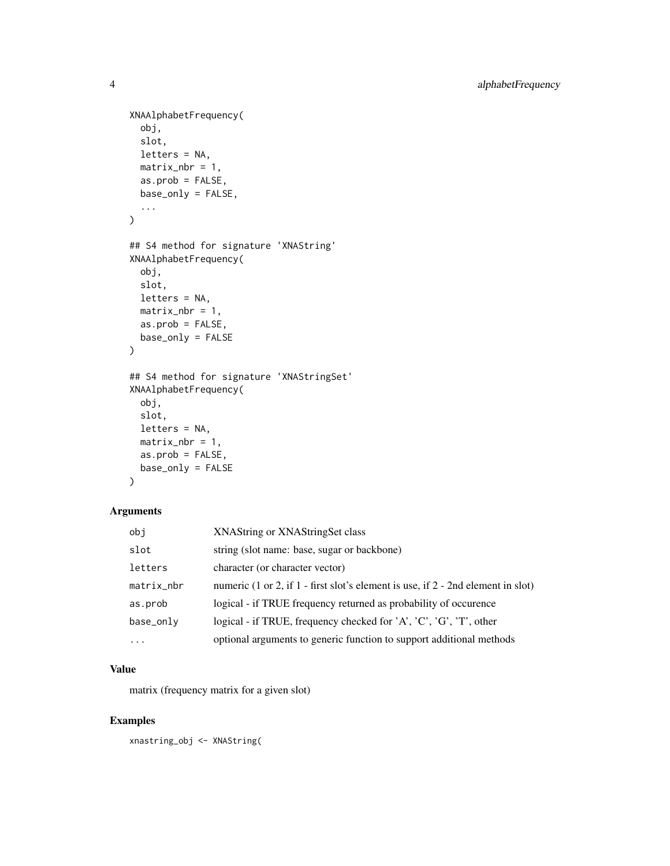```
XNAAlphabetFrequency(
 obj,
  slot,
 letters = NA,
 matrix\_nbr = 1,
 as.prob = FALSE,
 base_only = FALSE,
  ...
)
## S4 method for signature 'XNAString'
XNAAlphabetFrequency(
 obj,
 slot,
 letters = NA,
 matrix\_nbr = 1,
 as.prob = FALSE,
 base_only = FALSE
\mathcal{L}## S4 method for signature 'XNAStringSet'
XNAAlphabetFrequency(
 obj,
  slot,
 letters = NA,
 matrix\_nbr = 1,
 as.prob = FALSE,base_only = FALSE
\mathcal{L}
```
# Arguments

| obi        | XNAString or XNAStringSet class                                                                   |
|------------|---------------------------------------------------------------------------------------------------|
| slot       | string (slot name: base, sugar or backbone)                                                       |
| letters    | character (or character vector)                                                                   |
| matrix_nbr | numeric $(1 \text{ or } 2)$ , if $1$ - first slot's element is use, if $2$ - 2nd element in slot) |
| as.prob    | logical - if TRUE frequency returned as probability of occurence                                  |
| base_only  | logical - if TRUE, frequency checked for 'A', 'C', 'G', 'T', other                                |
| $\cdot$    | optional arguments to generic function to support additional methods                              |

# Value

matrix (frequency matrix for a given slot)

# Examples

xnastring\_obj <- XNAString(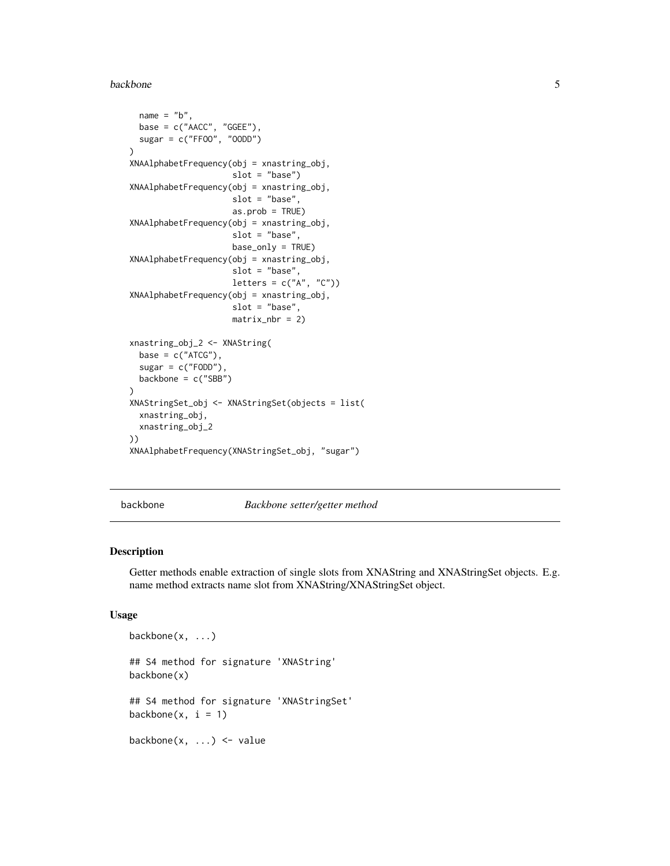#### <span id="page-4-0"></span>backbone 5

```
name = "b",base = c("AACC", "GGEE"),
 sugar = c("FFOO", "OODD")
)
XNAAlphabetFrequency(obj = xnastring_obj,
                     slot = "base")XNAAlphabetFrequency(obj = xnastring_obj,
                     slot = "base",
                     as.prob = TRUE)
XNAAlphabetFrequency(obj = xnastring_obj,
                     slot = "base",
                     base_only = TRUE)
XNAAlphabetFrequency(obj = xnastring_obj,
                     slot = "base",
                     letters = c("A", "C")XNAAlphabetFrequency(obj = xnastring_obj,
                     slot = "base",
                     matrix\_nbr = 2)xnastring_obj_2 <- XNAString(
 base = c("ATCG"),
 sugar = c("FODD"),
 backbone = c("SBB")
\lambdaXNAStringSet_obj <- XNAStringSet(objects = list(
 xnastring_obj,
 xnastring_obj_2
))
XNAAlphabetFrequency(XNAStringSet_obj, "sugar")
```
backbone *Backbone setter/getter method*

#### Description

Getter methods enable extraction of single slots from XNAString and XNAStringSet objects. E.g. name method extracts name slot from XNAString/XNAStringSet object.

#### Usage

```
backbone(x, ...)
## S4 method for signature 'XNAString'
backbone(x)
## S4 method for signature 'XNAStringSet'
backbone(x, i = 1)
```
backbone $(x, \ldots)$  <- value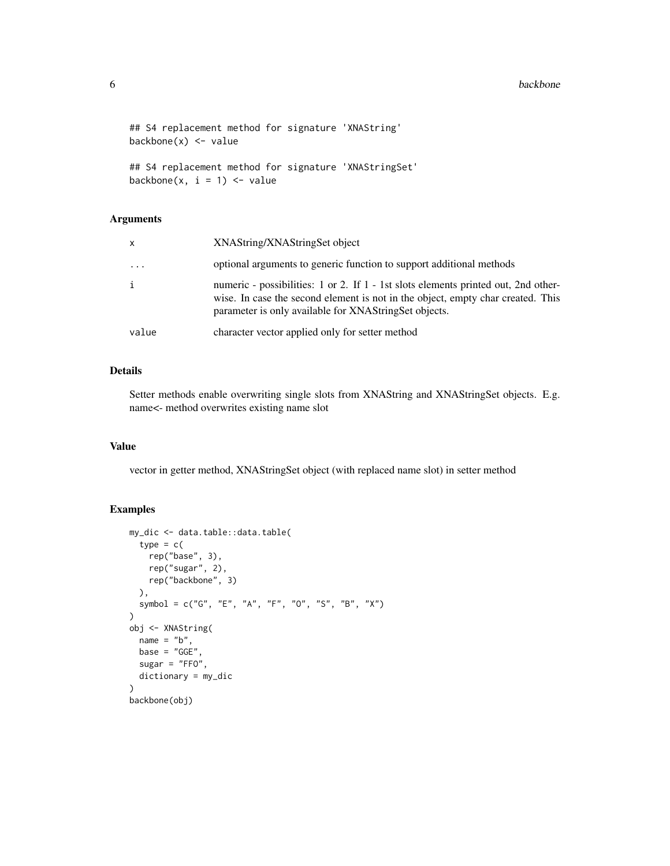#### **6** backbone **backbone backbone backbone backbone**

```
## S4 replacement method for signature 'XNAString'
backbone(x) <- value
## S4 replacement method for signature 'XNAStringSet'
```

```
backbone(x, i = 1) <- value
```
#### Arguments

| $\mathsf{x}$ | XNAString/XNAStringSet object                                                                                                                                                                                                  |
|--------------|--------------------------------------------------------------------------------------------------------------------------------------------------------------------------------------------------------------------------------|
| .            | optional arguments to generic function to support additional methods                                                                                                                                                           |
| i            | numeric - possibilities: 1 or 2. If 1 - 1st slots elements printed out, 2nd other-<br>wise. In case the second element is not in the object, empty char created. This<br>parameter is only available for XNAStringSet objects. |
| value        | character vector applied only for setter method                                                                                                                                                                                |

# Details

Setter methods enable overwriting single slots from XNAString and XNAStringSet objects. E.g. name<- method overwrites existing name slot

# Value

vector in getter method, XNAStringSet object (with replaced name slot) in setter method

```
my_dic <- data.table::data.table(
 type = c(rep("base", 3),
   rep("sugar", 2),
   rep("backbone", 3)
 ),
  symbol = c("G", "E", "A", "F", "O", "S", "B", "X")
\lambdaobj <- XNAString(
 name = "b",base = "GGE"sugar = "FFO",dictionary = my_dic
)
backbone(obj)
```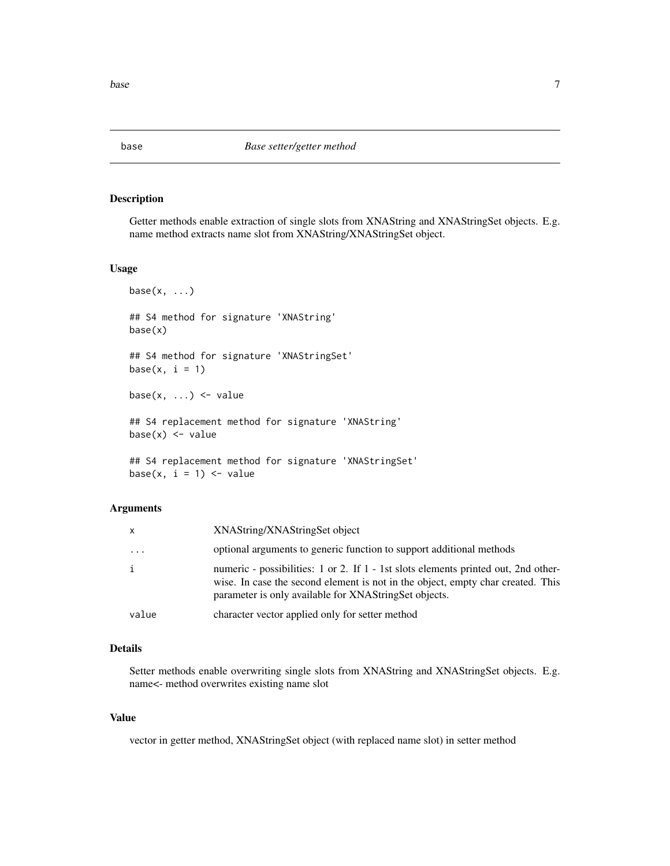#### <span id="page-6-0"></span>Description

Getter methods enable extraction of single slots from XNAString and XNAStringSet objects. E.g. name method extracts name slot from XNAString/XNAStringSet object.

#### Usage

```
base(x, \ldots)## S4 method for signature 'XNAString'
base(x)
## S4 method for signature 'XNAStringSet'
base(x, i = 1)base(x, \ldots) <- value
## S4 replacement method for signature 'XNAString'
base(x) < - value## S4 replacement method for signature 'XNAStringSet'
base(x, i = 1) <- value
```
#### Arguments

| $\mathsf{x}$ | XNAString/XNAStringSet object                                                                                                                                                                                                  |
|--------------|--------------------------------------------------------------------------------------------------------------------------------------------------------------------------------------------------------------------------------|
| .            | optional arguments to generic function to support additional methods                                                                                                                                                           |
| i            | numeric - possibilities: 1 or 2. If 1 - 1st slots elements printed out, 2nd other-<br>wise. In case the second element is not in the object, empty char created. This<br>parameter is only available for XNAStringSet objects. |
| value        | character vector applied only for setter method                                                                                                                                                                                |

# Details

Setter methods enable overwriting single slots from XNAString and XNAStringSet objects. E.g. name<- method overwrites existing name slot

#### Value

vector in getter method, XNAStringSet object (with replaced name slot) in setter method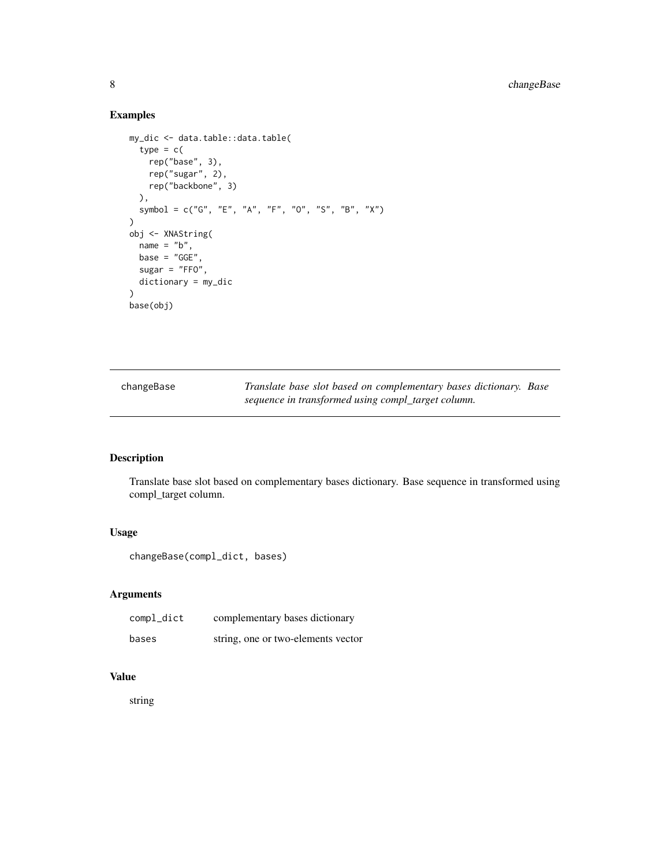# <span id="page-7-0"></span>8 changeBase changeBase

# Examples

```
my_dic <- data.table::data.table(
 type = c(rep("base", 3),
   rep("sugar", 2),
   rep("backbone", 3)
 ),
  symbol = c("G", "E", "A", "F", "O", "S", "B", "X")
\mathcal{L}obj <- XNAString(
 name = "b",base = "GGE",
  sugar = "FFO",
 dictionary = my_dic
)
base(obj)
```

| changeBase | Translate base slot based on complementary bases dictionary. Base |  |
|------------|-------------------------------------------------------------------|--|
|            | sequence in transformed using compl_target column.                |  |

# Description

Translate base slot based on complementary bases dictionary. Base sequence in transformed using compl\_target column.

# Usage

```
changeBase(compl_dict, bases)
```
# Arguments

| compl_dict | complementary bases dictionary     |
|------------|------------------------------------|
| bases      | string, one or two-elements vector |

# Value

string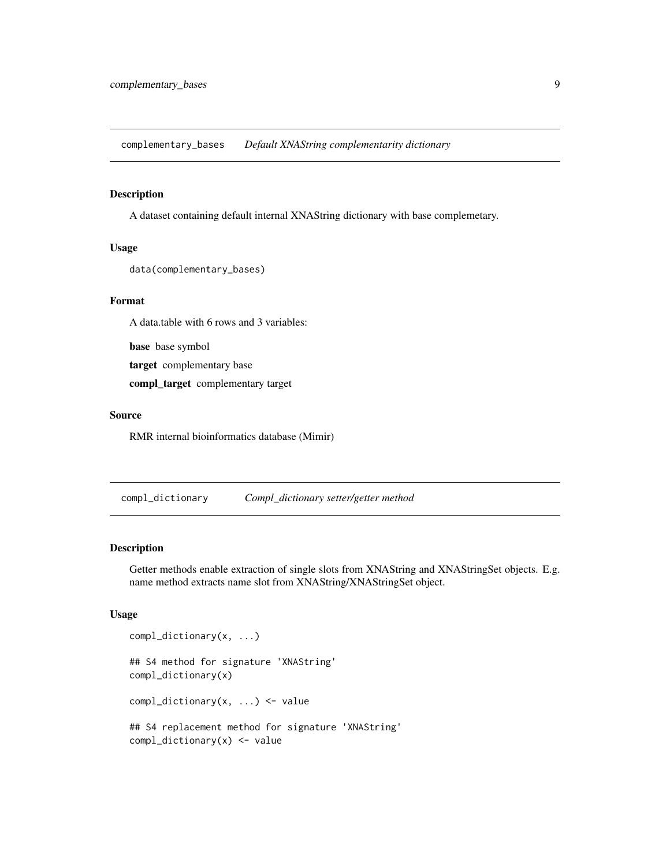<span id="page-8-0"></span>complementary\_bases *Default XNAString complementarity dictionary*

#### Description

A dataset containing default internal XNAString dictionary with base complemetary.

#### Usage

```
data(complementary_bases)
```
#### Format

A data.table with 6 rows and 3 variables:

base base symbol

target complementary base

compl\_target complementary target

#### Source

RMR internal bioinformatics database (Mimir)

compl\_dictionary *Compl\_dictionary setter/getter method*

#### Description

Getter methods enable extraction of single slots from XNAString and XNAStringSet objects. E.g. name method extracts name slot from XNAString/XNAStringSet object.

```
compl_dictionary(x, ...)
## S4 method for signature 'XNAString'
compl_dictionary(x)
compl_dictionary(x, ...) <- value
## S4 replacement method for signature 'XNAString'
compl_dictionary(x) <- value
```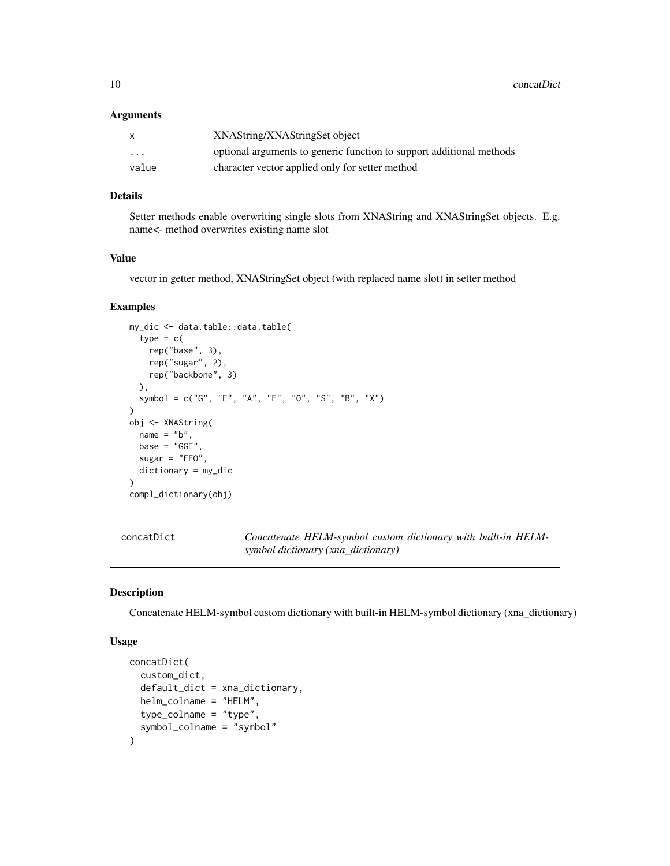<span id="page-9-0"></span>10 concatDict control of the concatDict concatDict concatDict concatDict concatDict concatDict concatDict concatDict concatDict concatDict concatDict concatDict concatDict concatDict concatDict concatDict concatDict concat

#### **Arguments**

| $\mathsf{x}$            | XNAString/XNAStringSet object                                        |
|-------------------------|----------------------------------------------------------------------|
| $\cdot$ $\cdot$ $\cdot$ | optional arguments to generic function to support additional methods |
| value                   | character vector applied only for setter method                      |

# Details

Setter methods enable overwriting single slots from XNAString and XNAStringSet objects. E.g. name<- method overwrites existing name slot

## Value

vector in getter method, XNAStringSet object (with replaced name slot) in setter method

# Examples

```
my_dic <- data.table::data.table(
  type = c(rep("base", 3),
   rep("sugar", 2),
   rep("backbone", 3)
  ),
  symbol = c("G", "E", "A", "F", "O", "S", "B", "X")
)
obj <- XNAString(
  name = "b",base = "GGE"sugar = "FFO",dictionary = my_dic
)
compl_dictionary(obj)
```
concatDict *Concatenate HELM-symbol custom dictionary with built-in HELMsymbol dictionary (xna\_dictionary)*

#### Description

Concatenate HELM-symbol custom dictionary with built-in HELM-symbol dictionary (xna\_dictionary)

```
concatDict(
  custom_dict,
  default_dict = xna_dictionary,
  helm_colname = "HELM",
  type_colname = "type",
  symbol_colname = "symbol"
\mathcal{E}
```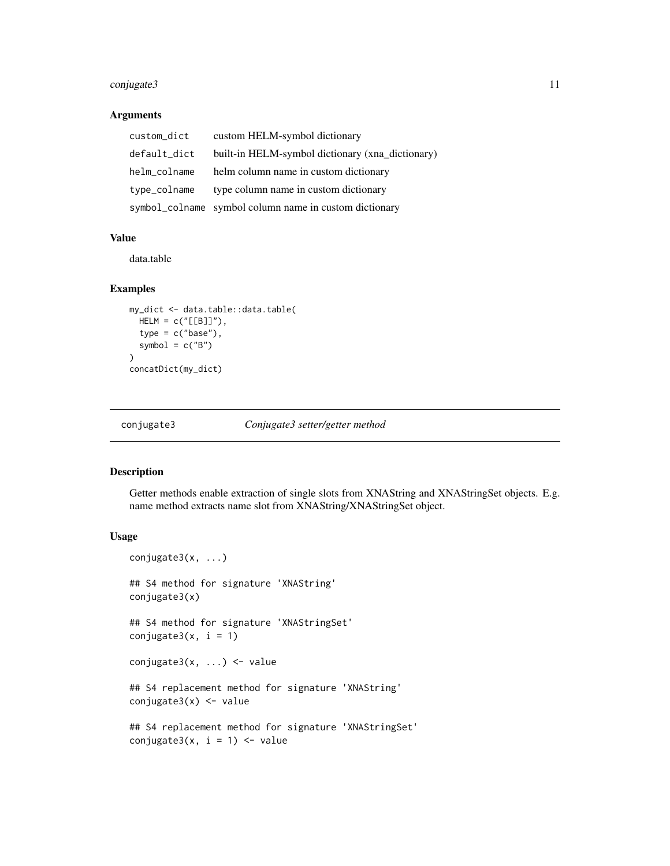# <span id="page-10-0"></span>conjugate3 11

#### Arguments

| custom_dict  | custom HELM-symbol dictionary                          |
|--------------|--------------------------------------------------------|
| default_dict | built-in HELM-symbol dictionary (xna_dictionary)       |
| helm_colname | helm column name in custom dictionary                  |
| type_colname | type column name in custom dictionary                  |
|              | symbol_colname symbol column name in custom dictionary |

## Value

data.table

#### Examples

```
my_dict <- data.table::data.table(
  HELM = c("[[B]]"),
  type = c("base"),
  symbol = c("B")\overline{)}concatDict(my_dict)
```
conjugate3 *Conjugate3 setter/getter method*

#### Description

Getter methods enable extraction of single slots from XNAString and XNAStringSet objects. E.g. name method extracts name slot from XNAString/XNAStringSet object.

```
conjugate3(x, ...)
## S4 method for signature 'XNAString'
conjugate3(x)
## S4 method for signature 'XNAStringSet'
conjugate3(x, i = 1)conjugate3(x, ...) <- value
## S4 replacement method for signature 'XNAString'
conjugate3(x) <- value
## S4 replacement method for signature 'XNAStringSet'
conjugate3(x, i = 1) <- value
```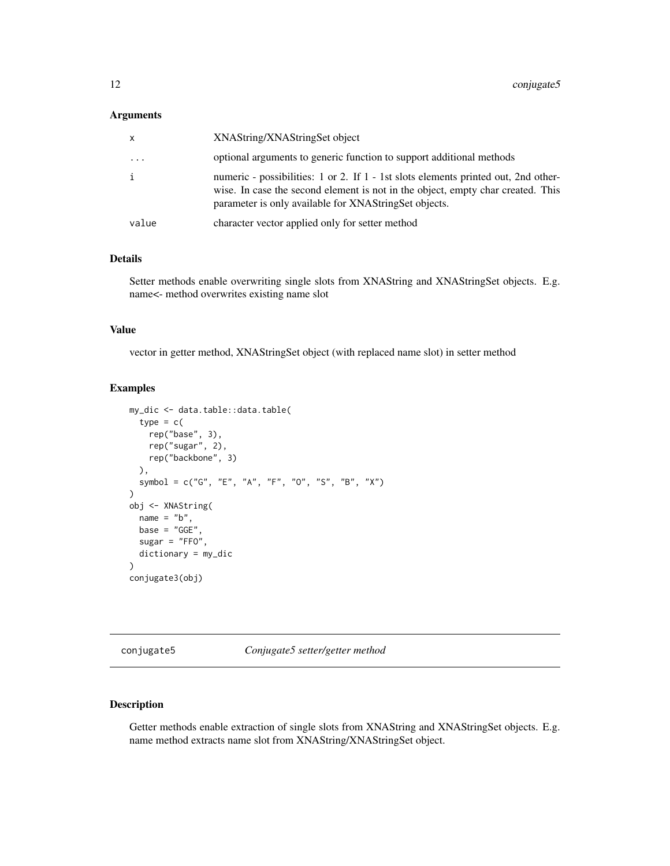#### <span id="page-11-0"></span>Arguments

| $\mathsf{x}$ | XNAString/XNAStringSet object                                                                                                                                                                                                  |
|--------------|--------------------------------------------------------------------------------------------------------------------------------------------------------------------------------------------------------------------------------|
| $\ddotsc$    | optional arguments to generic function to support additional methods                                                                                                                                                           |
| i            | numeric - possibilities: 1 or 2. If 1 - 1st slots elements printed out, 2nd other-<br>wise. In case the second element is not in the object, empty char created. This<br>parameter is only available for XNAStringSet objects. |
| value        | character vector applied only for setter method                                                                                                                                                                                |

#### Details

Setter methods enable overwriting single slots from XNAString and XNAStringSet objects. E.g. name<- method overwrites existing name slot

#### Value

vector in getter method, XNAStringSet object (with replaced name slot) in setter method

#### Examples

```
my_dic <- data.table::data.table(
  type = c(rep("base", 3),
   rep("sugar", 2),
   rep("backbone", 3)
  ),
  symbol = c("G", "E", "A", "F", "O", "S", "B", "X")
)
obj <- XNAString(
  name = "b",base = "GGE"sugar = "FFO",dictionary = my_dic
)
conjugate3(obj)
```
conjugate5 *Conjugate5 setter/getter method*

# Description

Getter methods enable extraction of single slots from XNAString and XNAStringSet objects. E.g. name method extracts name slot from XNAString/XNAStringSet object.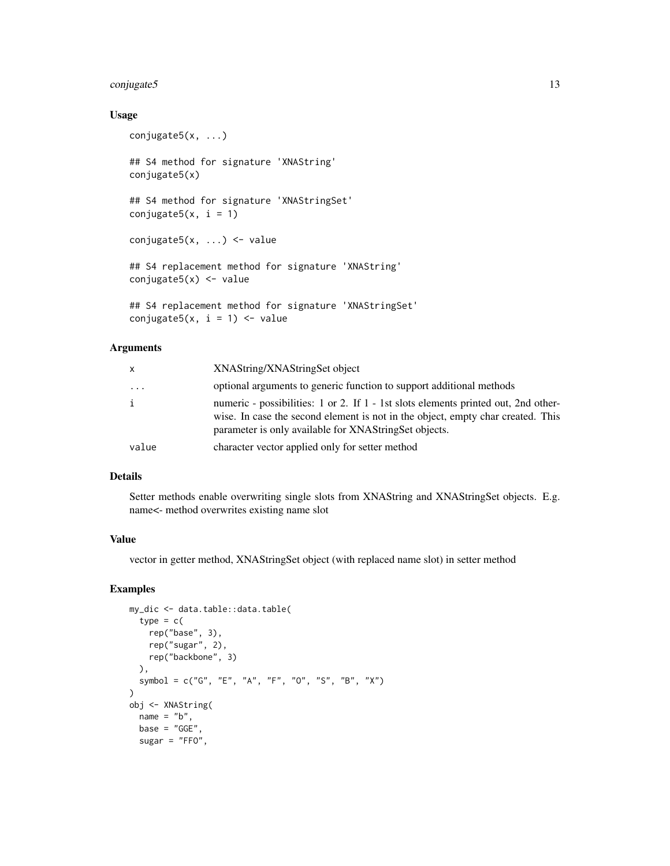# conjugate5 13

# Usage

```
conjugate5(x, ...)
## S4 method for signature 'XNAString'
conjugate5(x)
## S4 method for signature 'XNAStringSet'
conjugate5(x, i = 1)conjugate5(x, ...) <- value
## S4 replacement method for signature 'XNAString'
conjugate5(x) <- value
## S4 replacement method for signature 'XNAStringSet'
conjugate5(x, i = 1) <- value
```
#### Arguments

| x     | XNAString/XNAStringSet object                                                                                                                                                                                                  |
|-------|--------------------------------------------------------------------------------------------------------------------------------------------------------------------------------------------------------------------------------|
| .     | optional arguments to generic function to support additional methods                                                                                                                                                           |
| i     | numeric - possibilities: 1 or 2. If 1 - 1st slots elements printed out, 2nd other-<br>wise. In case the second element is not in the object, empty char created. This<br>parameter is only available for XNAStringSet objects. |
| value | character vector applied only for setter method                                                                                                                                                                                |

#### Details

Setter methods enable overwriting single slots from XNAString and XNAStringSet objects. E.g. name<- method overwrites existing name slot

#### Value

vector in getter method, XNAStringSet object (with replaced name slot) in setter method

```
my_dic <- data.table::data.table(
 type = c(rep("base", 3),
   rep("sugar", 2),
   rep("backbone", 3)
  ),
  symbol = c("G", "E", "A", "F", "O", "S", "B", "X")
)
obj <- XNAString(
 name = "b",base = "GGE"sugar = "FFO",
```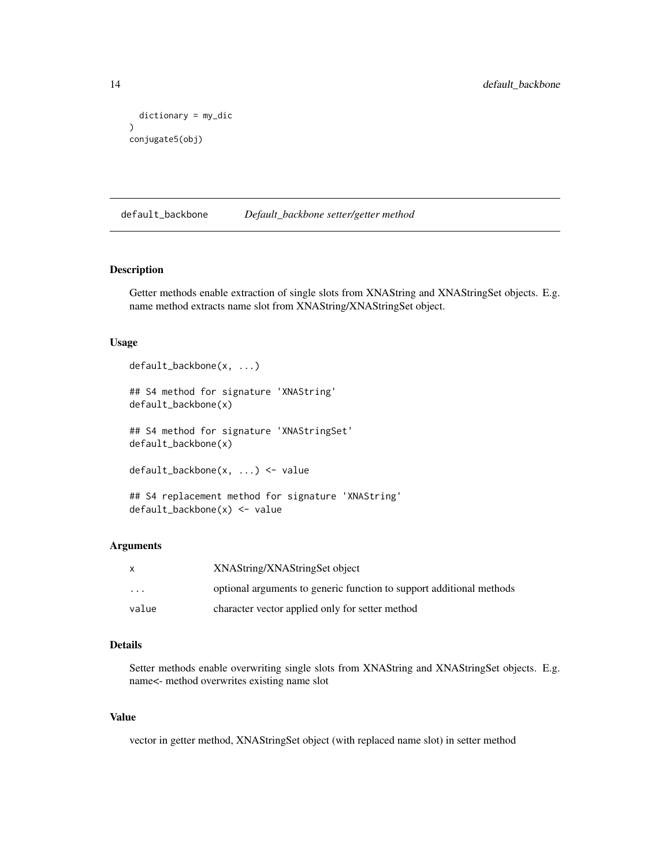```
dictionary = my_dic
\mathcal{L}conjugate5(obj)
```
default\_backbone *Default\_backbone setter/getter method*

# Description

Getter methods enable extraction of single slots from XNAString and XNAStringSet objects. E.g. name method extracts name slot from XNAString/XNAStringSet object.

#### Usage

```
default_backbone(x, ...)
## S4 method for signature 'XNAString'
default_backbone(x)
## S4 method for signature 'XNAStringSet'
default_backbone(x)
default_backbone(x, ...) <- value
## S4 replacement method for signature 'XNAString'
default_backbone(x) <- value
```
#### Arguments

| X        | XNAString/XNAStringSet object                                        |
|----------|----------------------------------------------------------------------|
| $\cdots$ | optional arguments to generic function to support additional methods |
| value    | character vector applied only for setter method                      |

# Details

Setter methods enable overwriting single slots from XNAString and XNAStringSet objects. E.g. name<- method overwrites existing name slot

### Value

vector in getter method, XNAStringSet object (with replaced name slot) in setter method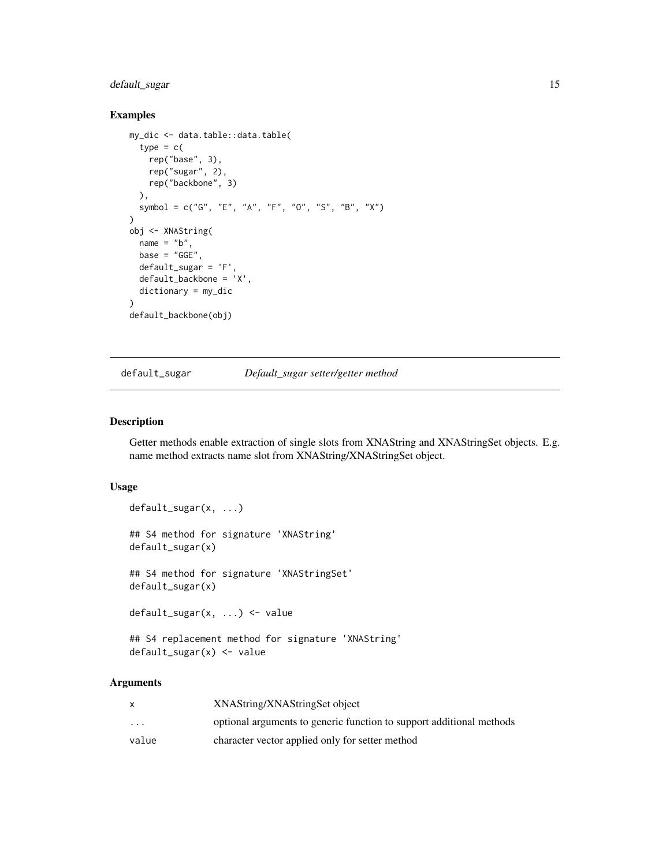# <span id="page-14-0"></span>default\_sugar 15

#### Examples

```
my_dic <- data.table::data.table(
  type = c(rep("base", 3),
   rep("sugar", 2),
   rep("backbone", 3)
  ),
  symbol = c("G", "E", "A", "F", "O", "S", "B", "X")
)
obj <- XNAString(
  name = "b",
 base = "GGE",default_sugar = 'F',
  default_backbone = 'X',
  dictionary = my_dic
\lambdadefault_backbone(obj)
```
default\_sugar *Default\_sugar setter/getter method*

#### Description

Getter methods enable extraction of single slots from XNAString and XNAStringSet objects. E.g. name method extracts name slot from XNAString/XNAStringSet object.

# Usage

```
default_sugar(x, ...)
## S4 method for signature 'XNAString'
default_sugar(x)
## S4 method for signature 'XNAStringSet'
default_sugar(x)
default_sugar(x, ...) <- value
```

```
## S4 replacement method for signature 'XNAString'
default_sugar(x) <- value
```

|                         | XNAString/XNAStringSet object                                        |
|-------------------------|----------------------------------------------------------------------|
| $\cdot$ $\cdot$ $\cdot$ | optional arguments to generic function to support additional methods |
| value                   | character vector applied only for setter method                      |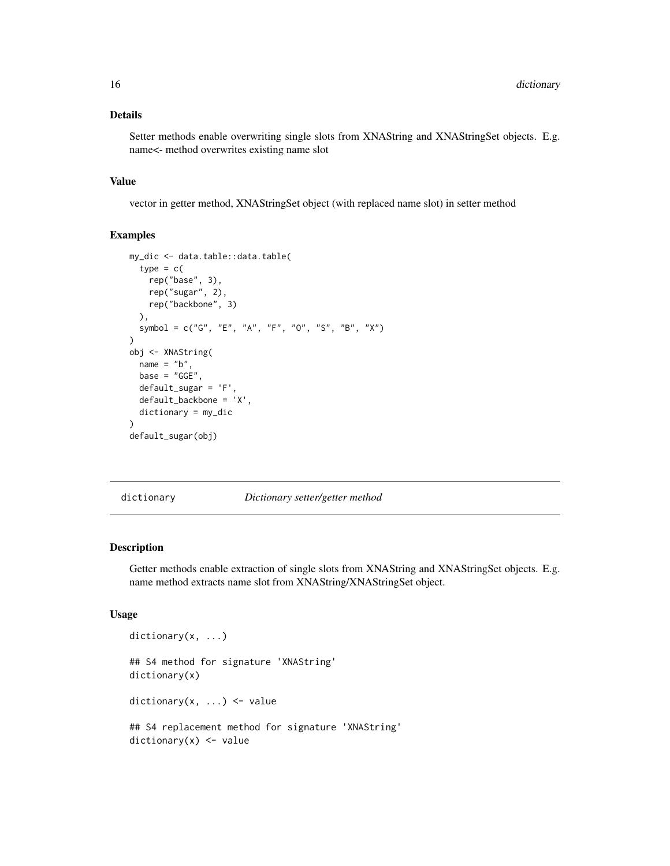#### Details

Setter methods enable overwriting single slots from XNAString and XNAStringSet objects. E.g. name<- method overwrites existing name slot

#### Value

vector in getter method, XNAStringSet object (with replaced name slot) in setter method

# Examples

```
my_dic <- data.table::data.table(
  type = c(rep("base", 3),
   rep("sugar", 2),
   rep("backbone", 3)
  ),
  symbol = c("G", "E", "A", "F", "O", "S", "B", "X")
)
obj <- XNAString(
  name = "b",
  base = "GGE"default_sugar = 'F',
  default_backbone = 'X',
  dictionary = my_dic
)
default_sugar(obj)
```
dictionary *Dictionary setter/getter method*

#### Description

Getter methods enable extraction of single slots from XNAString and XNAStringSet objects. E.g. name method extracts name slot from XNAString/XNAStringSet object.

```
dictionary(x, ...)
## S4 method for signature 'XNAString'
dictionary(x)
dictionary(x, ...) <- value
## S4 replacement method for signature 'XNAString'
dictionary(x) <- value
```
<span id="page-15-0"></span>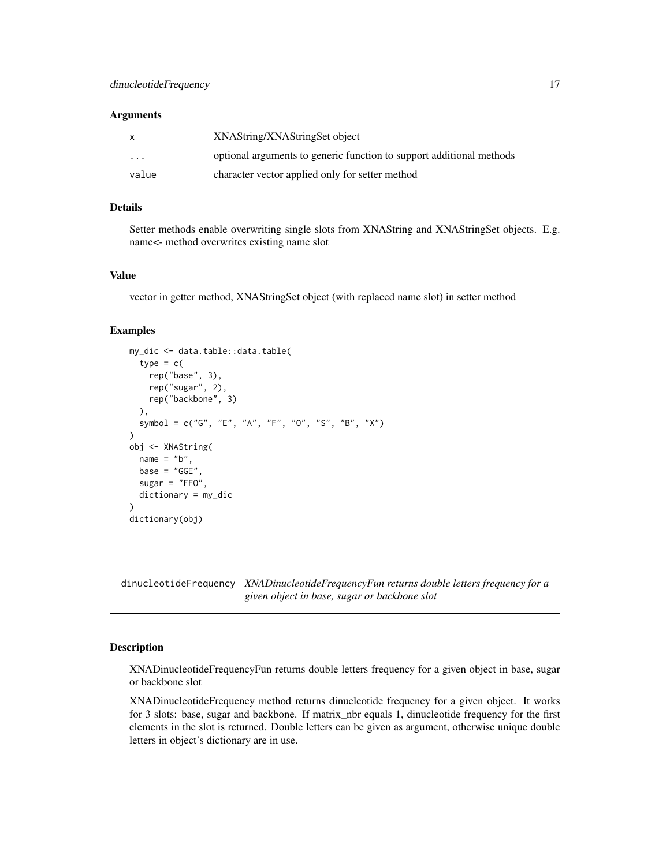#### <span id="page-16-0"></span>**Arguments**

| X        | XNAString/XNAStringSet object                                        |
|----------|----------------------------------------------------------------------|
| $\cdots$ | optional arguments to generic function to support additional methods |
| value    | character vector applied only for setter method                      |

#### Details

Setter methods enable overwriting single slots from XNAString and XNAStringSet objects. E.g. name<- method overwrites existing name slot

#### Value

vector in getter method, XNAStringSet object (with replaced name slot) in setter method

# Examples

```
my_dic <- data.table::data.table(
 type = c(rep("base", 3),
   rep("sugar", 2),
   rep("backbone", 3)
 ),
 symbol = c("G", "E", "A", "F", "O", "S", "B", "X")
)
obj <- XNAString(
 name = "b",
 base = "GGE".
 sugar = "FFO",dictionary = my_dic
\mathcal{L}dictionary(obj)
```
dinucleotideFrequency *XNADinucleotideFrequencyFun returns double letters frequency for a given object in base, sugar or backbone slot*

#### Description

XNADinucleotideFrequencyFun returns double letters frequency for a given object in base, sugar or backbone slot

XNADinucleotideFrequency method returns dinucleotide frequency for a given object. It works for 3 slots: base, sugar and backbone. If matrix\_nbr equals 1, dinucleotide frequency for the first elements in the slot is returned. Double letters can be given as argument, otherwise unique double letters in object's dictionary are in use.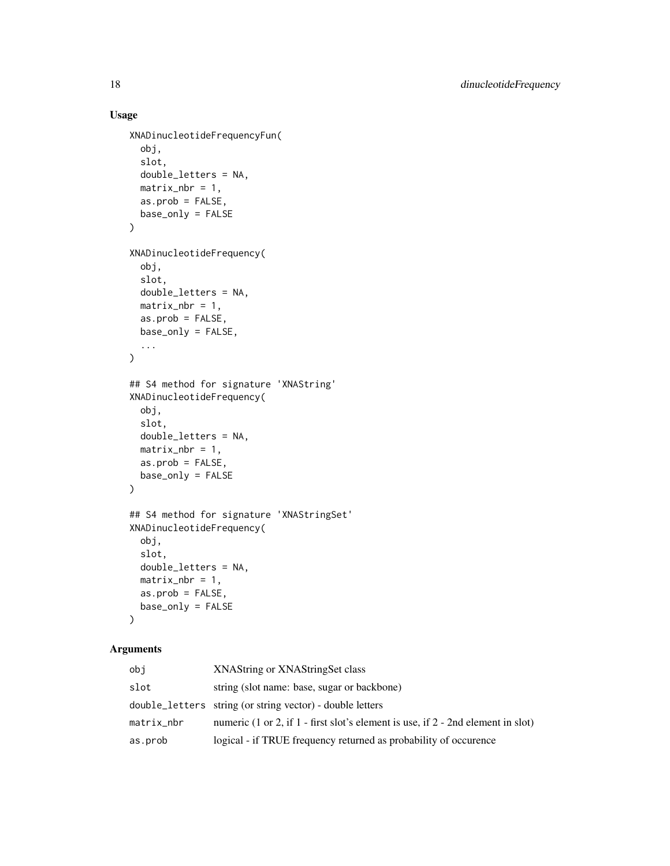# Usage

```
XNADinucleotideFrequencyFun(
  obj,
  slot,
  double_letters = NA,
 matrix\_nbr = 1,
 as.prob = FALSE,base_only = FALSE
\mathcal{L}XNADinucleotideFrequency(
  obj,
  slot,
 double_letters = NA,
 matrix\_nbr = 1,
  as.prob = FALSE,
 base_only = FALSE,
  ...
\mathcal{L}## S4 method for signature 'XNAString'
XNADinucleotideFrequency(
  obj,
  slot,
 double_letters = NA,
 matrix\_nbr = 1,
  as.prob = FALSE,
 base_only = FALSE
\mathcal{L}## S4 method for signature 'XNAStringSet'
XNADinucleotideFrequency(
  obj,
  slot,
  double_letters = NA,
 matrix\_nbr = 1,
 as.prob = FALSE,base_only = FALSE
\mathcal{L}
```

| obi        | XNAString or XNAStringSet class                                                  |
|------------|----------------------------------------------------------------------------------|
| slot       | string (slot name: base, sugar or backbone)                                      |
|            | double_letters string (or string vector) - double letters                        |
| matrix_nbr | numeric (1 or 2, if 1 - first slot's element is use, if 2 - 2nd element in slot) |
| as.prob    | logical - if TRUE frequency returned as probability of occurence                 |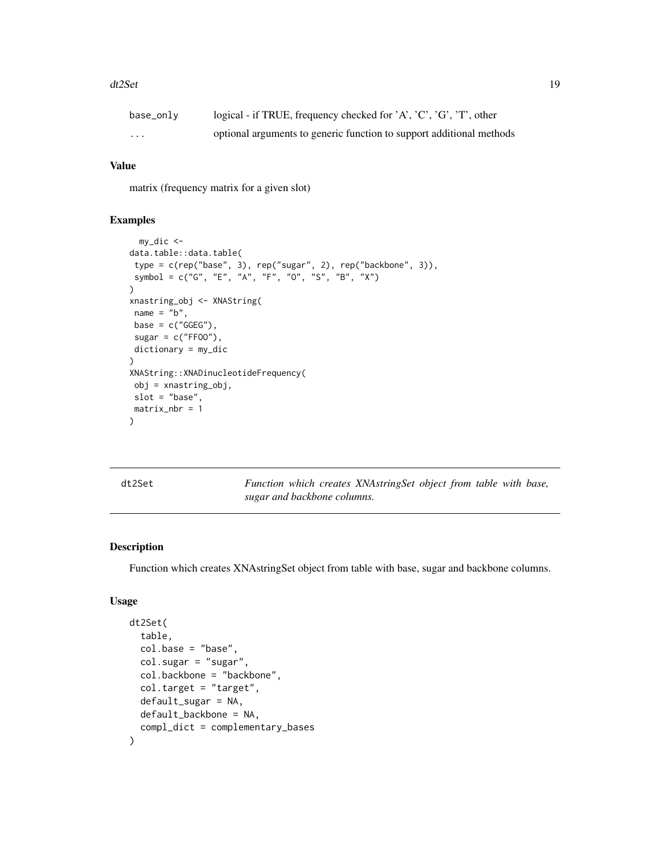#### <span id="page-18-0"></span>dt2Set 19

| base_only | logical - if TRUE, frequency checked for 'A', 'C', 'G', 'T', other   |
|-----------|----------------------------------------------------------------------|
| .         | optional arguments to generic function to support additional methods |

#### Value

matrix (frequency matrix for a given slot)

#### Examples

```
my_dic <-
data.table::data.table(
type = c(rep("base", 3), rep("sugar", 2), rep("backbone", 3)),
symbol = c("G", "E", "A", "F", "O", "S", "B", "X")
)
xnastring_obj <- XNAString(
name = "b",
base = c("GGEG"),
sugar = c("FF00"),
dictionary = my_dic
\mathcal{L}XNAString::XNADinucleotideFrequency(
obj = xnastring_obj,
slot = "base",
matrix_nbr = 1
)
```
dt2Set *Function which creates XNAstringSet object from table with base, sugar and backbone columns.*

# Description

Function which creates XNAstringSet object from table with base, sugar and backbone columns.

```
dt2Set(
  table,
  col.\nbase = "base",col.sugar = "sugar",
  col.backbone = "backbone",
  col.target = "target",
  default_sugar = NA,
  default_backbone = NA,
  compl_dict = complementary_bases
)
```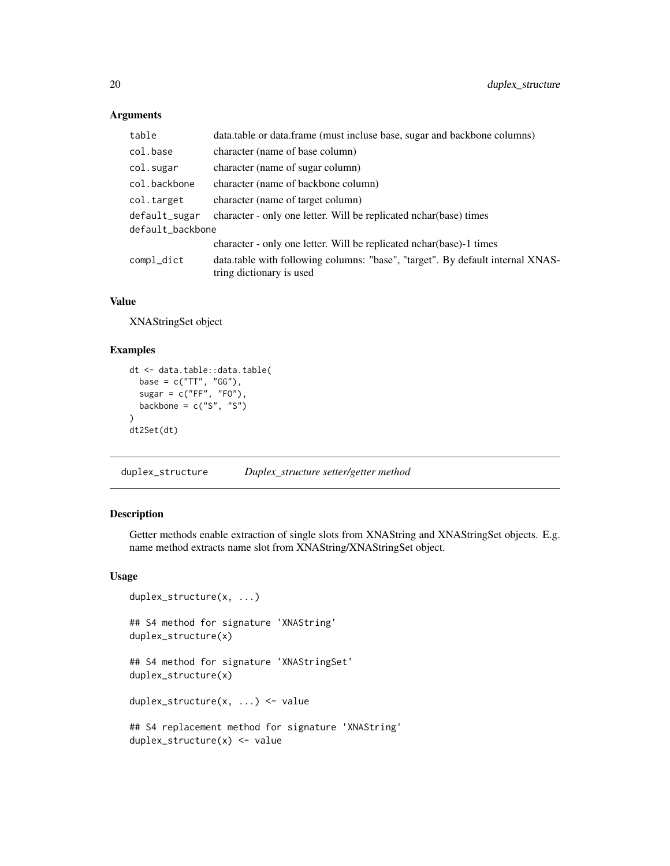# Arguments

| table            | data.table or data.frame (must incluse base, sugar and backbone columns)                                   |
|------------------|------------------------------------------------------------------------------------------------------------|
| col.base         | character (name of base column)                                                                            |
| col.sugar        | character (name of sugar column)                                                                           |
| col.backbone     | character (name of backbone column)                                                                        |
| col.target       | character (name of target column)                                                                          |
| default_sugar    | character - only one letter. Will be replicated nchar (base) times                                         |
| default_backbone |                                                                                                            |
|                  | character - only one letter. Will be replicated nchar (base) -1 times                                      |
| compl_dict       | data.table with following columns: "base", "target". By default internal XNAS-<br>tring dictionary is used |

# Value

XNAStringSet object

# Examples

```
dt <- data.table::data.table(
  base = c("TT", "GG"),
  sugar = c("FF", "FO"),
 backbone = c("S", "S")\lambdadt2Set(dt)
```
duplex\_structure *Duplex\_structure setter/getter method*

# Description

Getter methods enable extraction of single slots from XNAString and XNAStringSet objects. E.g. name method extracts name slot from XNAString/XNAStringSet object.

```
duplex_structure(x, ...)
## S4 method for signature 'XNAString'
duplex_structure(x)
## S4 method for signature 'XNAStringSet'
duplex_structure(x)
duplex_structure(x, ...) <- value
## S4 replacement method for signature 'XNAString'
duplex_structure(x) <- value
```
<span id="page-19-0"></span>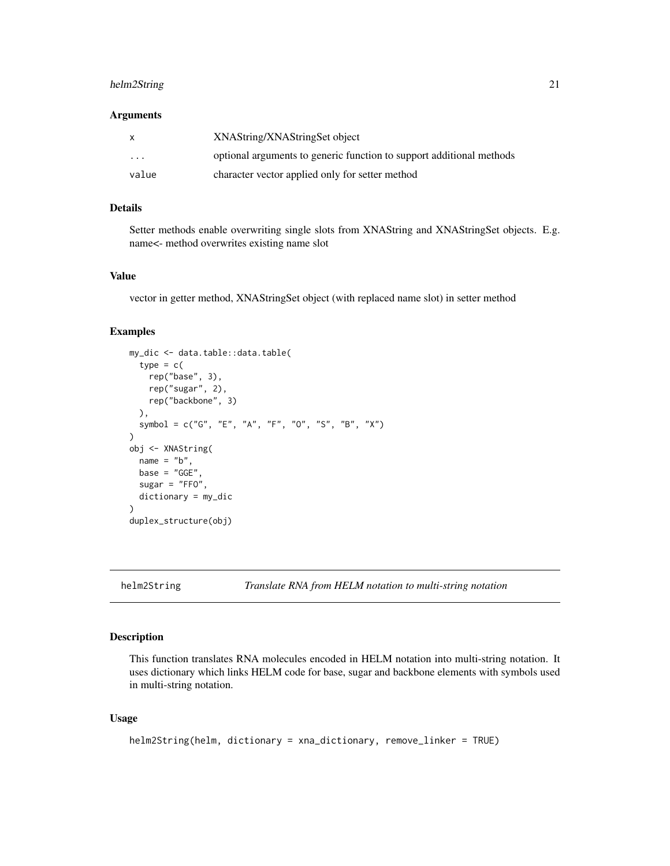# <span id="page-20-0"></span>helm2String 21

#### **Arguments**

| X        | XNAString/XNAStringSet object                                        |
|----------|----------------------------------------------------------------------|
| $\cdots$ | optional arguments to generic function to support additional methods |
| value    | character vector applied only for setter method                      |

#### Details

Setter methods enable overwriting single slots from XNAString and XNAStringSet objects. E.g. name<- method overwrites existing name slot

#### Value

vector in getter method, XNAStringSet object (with replaced name slot) in setter method

#### Examples

```
my_dic <- data.table::data.table(
  type = c(rep("base", 3),
    rep("sugar", 2),
    rep("backbone", 3)
  ),
  symbol = c("G", "E", "A", "F", "O", "S", "B", "X")
\mathcal{L}obj <- XNAString(
  name = "b",base = "GGE"sugar = "FFO",
  dictionary = my_dic
)
duplex_structure(obj)
```
helm2String *Translate RNA from HELM notation to multi-string notation*

## Description

This function translates RNA molecules encoded in HELM notation into multi-string notation. It uses dictionary which links HELM code for base, sugar and backbone elements with symbols used in multi-string notation.

```
helm2String(helm, dictionary = xna_dictionary, remove_linker = TRUE)
```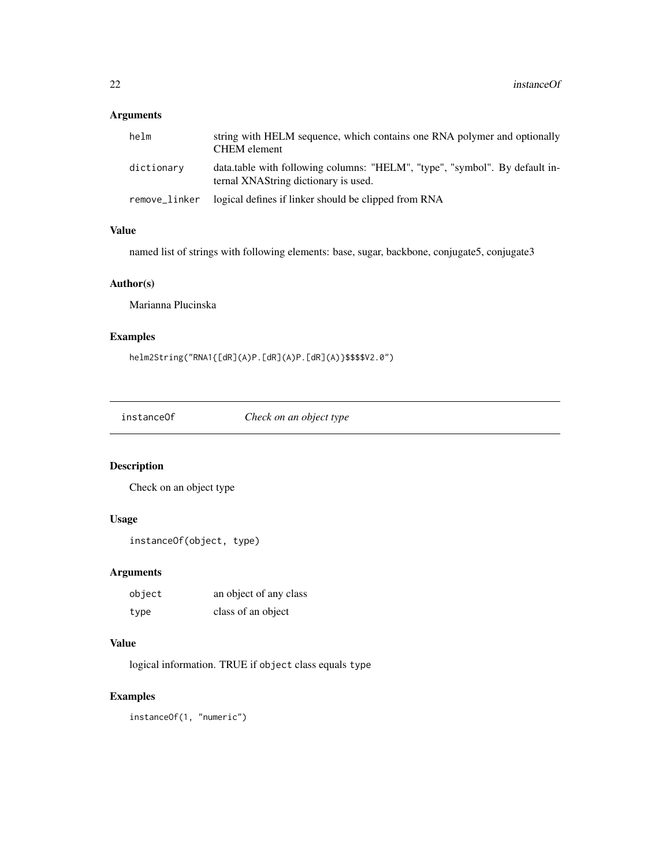# <span id="page-21-0"></span>Arguments

| helm          | string with HELM sequence, which contains one RNA polymer and optionally<br><b>CHEM</b> element                     |
|---------------|---------------------------------------------------------------------------------------------------------------------|
| dictionary    | data.table with following columns: "HELM", "type", "symbol". By default in-<br>ternal XNAString dictionary is used. |
| remove_linker | logical defines if linker should be clipped from RNA                                                                |

#### Value

named list of strings with following elements: base, sugar, backbone, conjugate5, conjugate3

# Author(s)

Marianna Plucinska

# Examples

helm2String("RNA1{[dR](A)P.[dR](A)P.[dR](A)}\$\$\$\$V2.0")

instanceOf *Check on an object type*

# Description

Check on an object type

# Usage

```
instanceOf(object, type)
```
# Arguments

| object | an object of any class |
|--------|------------------------|
| type   | class of an object     |

# Value

logical information. TRUE if object class equals type

# Examples

instanceOf(1, "numeric")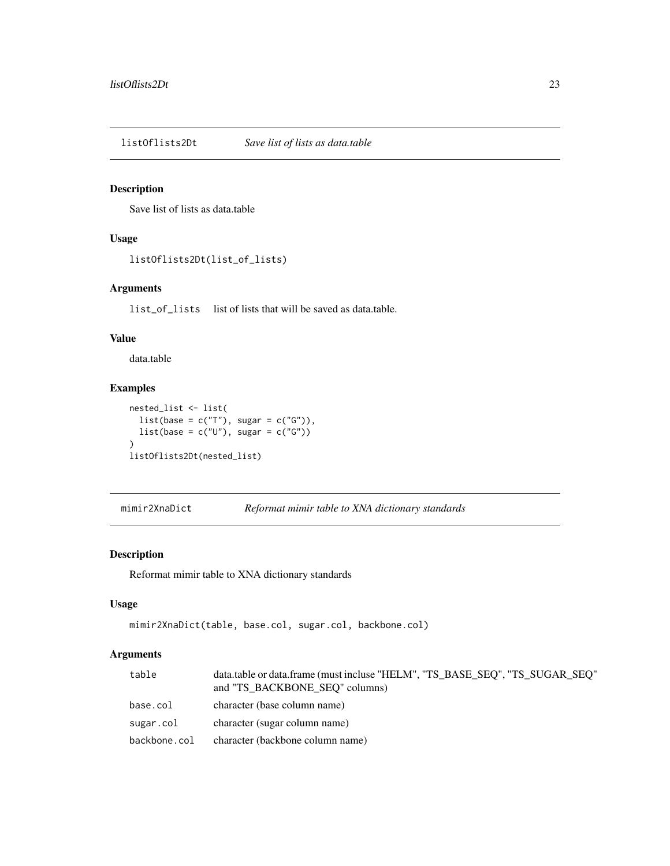<span id="page-22-0"></span>listOflists2Dt *Save list of lists as data.table*

# Description

Save list of lists as data.table

# Usage

listOflists2Dt(list\_of\_lists)

# Arguments

list\_of\_lists list of lists that will be saved as data.table.

# Value

data.table

# Examples

```
nested_list <- list(
  list(base = c("T"), sugar = c("G")),
  list(base = c("U"), sugar = c("G"))
\mathcal{L}listOflists2Dt(nested_list)
```
mimir2XnaDict *Reformat mimir table to XNA dictionary standards*

# Description

Reformat mimir table to XNA dictionary standards

#### Usage

```
mimir2XnaDict(table, base.col, sugar.col, backbone.col)
```

| table        | data.table or data.frame (must incluse "HELM", "TS BASE SEQ", "TS SUGAR SEQ"<br>and "TS BACKBONE SEQ" columns) |
|--------------|----------------------------------------------------------------------------------------------------------------|
| base.col     | character (base column name)                                                                                   |
| sugar.col    | character (sugar column name)                                                                                  |
| backbone.col | character (backbone column name)                                                                               |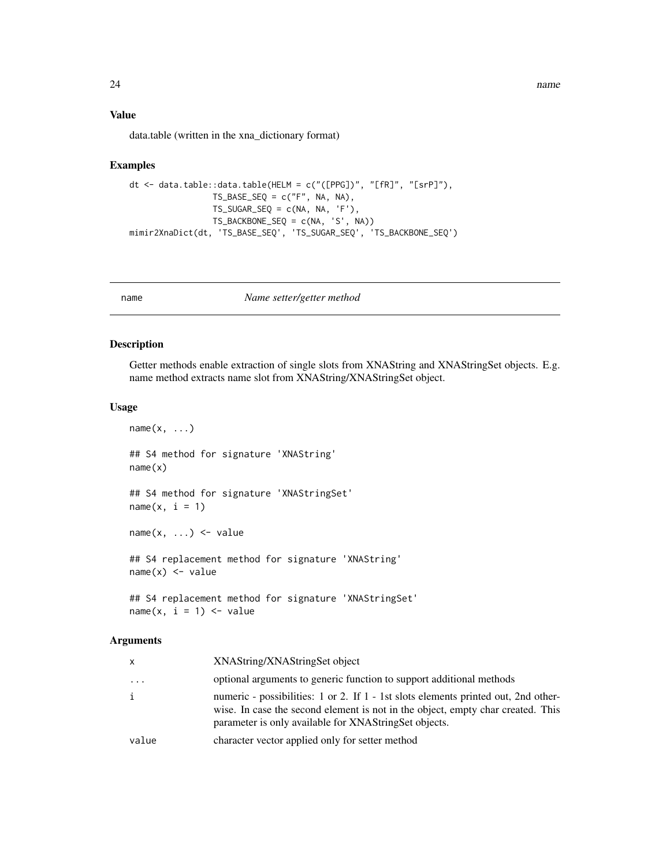<span id="page-23-0"></span>24 name and the set of the set of the set of the set of the set of the set of the set of the set of the set of the set of the set of the set of the set of the set of the set of the set of the set of the set of the set of t

#### Value

data.table (written in the xna\_dictionary format)

#### Examples

```
dt <- data.table::data.table(HELM = c("([PPG])", "[fR]", "[srP]"),
                 TS\_BASE\_SEQ = c("F", NA, NA),TS_SUGAR_SEQ = c(NA, NA, 'F'),
                 TS_BACKBONE_SEQ = c(NA, 'S', NA))
mimir2XnaDict(dt, 'TS_BASE_SEQ', 'TS_SUGAR_SEQ', 'TS_BACKBONE_SEQ')
```
name *Name setter/getter method*

### Description

Getter methods enable extraction of single slots from XNAString and XNAStringSet objects. E.g. name method extracts name slot from XNAString/XNAStringSet object.

#### Usage

```
name(x, \ldots)## S4 method for signature 'XNAString'
name(x)
## S4 method for signature 'XNAStringSet'
name(x, i = 1)name(x, ...) \leftarrow value## S4 replacement method for signature 'XNAString'
name(x) < - value## S4 replacement method for signature 'XNAStringSet'
name(x, i = 1) \le - value
```

| $\mathsf{x}$ | XNAString/XNAStringSet object                                                                                                                                                                                                  |
|--------------|--------------------------------------------------------------------------------------------------------------------------------------------------------------------------------------------------------------------------------|
| .            | optional arguments to generic function to support additional methods                                                                                                                                                           |
| i            | numeric - possibilities: 1 or 2. If 1 - 1st slots elements printed out, 2nd other-<br>wise. In case the second element is not in the object, empty char created. This<br>parameter is only available for XNAStringSet objects. |
| value        | character vector applied only for setter method                                                                                                                                                                                |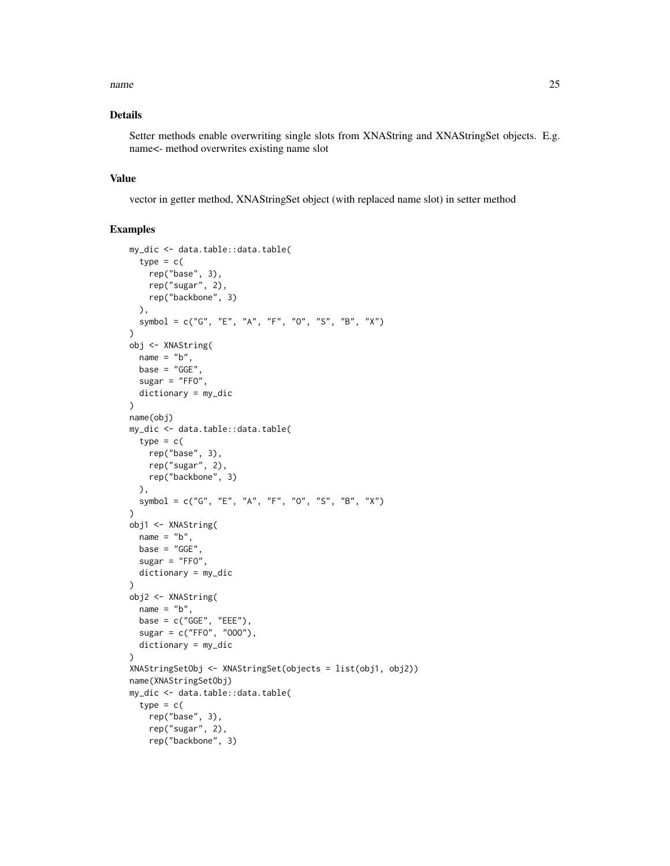#### name 25

# Details

Setter methods enable overwriting single slots from XNAString and XNAStringSet objects. E.g. name<- method overwrites existing name slot

#### Value

vector in getter method, XNAStringSet object (with replaced name slot) in setter method

```
my_dic <- data.table::data.table(
  type = c(rep("base", 3),
   rep("sugar", 2),
   rep("backbone", 3)
 ),
  symbol = c("G", "E", "A", "F", "O", "S", "B", "X")
\lambdaobj <- XNAString(
  name = "b",base = "GGE",
  sugar = "FF0",dictionary = my_dic
\lambdaname(obj)
my_dic <- data.table::data.table(
  type = c(rep("base", 3),
   rep("sugar", 2),
   rep("backbone", 3)
  ),
  symbol = c("G", "E", "A", "F", "O", "S", "B", "X")
)
obj1 <- XNAString(
 name = "b",
  base = "GGE"sugar = "FFO",dictionary = my_dic
)
obj2 <- XNAString(
 name = "b",base = c("GGE", "EEE"),sugar = c("FFO", "OOO"),
  dictionary = my_dic
)
XNAStringSetObj <- XNAStringSet(objects = list(obj1, obj2))
name(XNAStringSetObj)
my_dic <- data.table::data.table(
  type = c(rep("base", 3),
   rep("sugar", 2),
   rep("backbone", 3)
```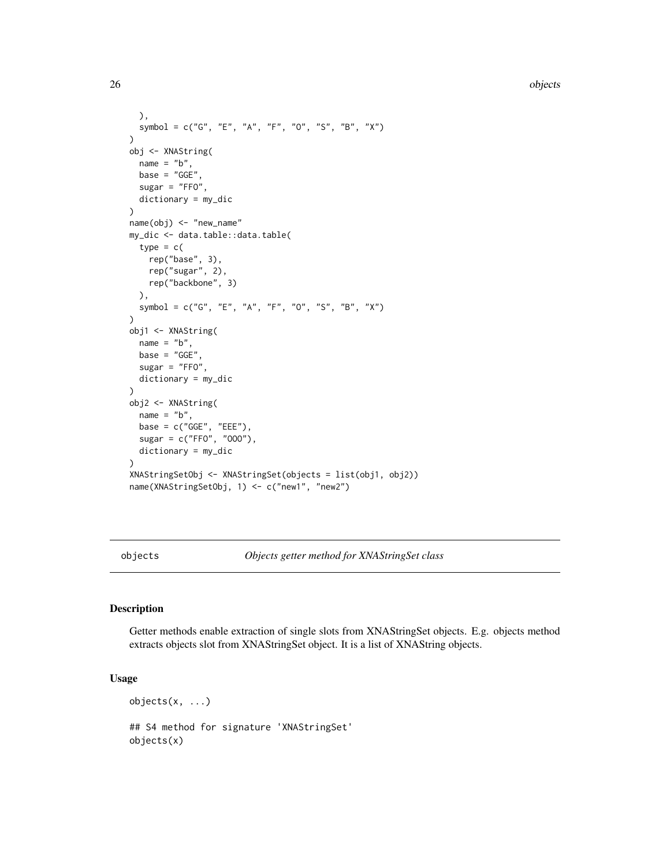26 objects

```
),
  symbol = c("G", "E", "A", "F", "O", "S", "B", "X")
)
obj <- XNAString(
  name = "b",base = "GGE"sugar = "FFO",
  dictionary = my_dic
\lambdaname(obj) <- "new_name"
my_dic <- data.table::data.table(
  type = c(rep("base", 3),
    rep("sugar", 2),
   rep("backbone", 3)
  ),
  symbol = c("G", "E", "A", "F", "O", "S", "B", "X")
)
obj1 <- XNAString(
  name = "b",base = "GGE"sugar = "FF0",
  dictionary = my_dic
\mathcal{L}obj2 <- XNAString(
  name = "b",base = c("GGE", "EEE"),
  sugar = c("FFO", "OOO"),
  dictionary = my_dic
)
XNAStringSetObj <- XNAStringSet(objects = list(obj1, obj2))
name(XNAStringSetObj, 1) <- c("new1", "new2")
```
objects *Objects getter method for XNAStringSet class*

### Description

Getter methods enable extraction of single slots from XNAStringSet objects. E.g. objects method extracts objects slot from XNAStringSet object. It is a list of XNAString objects.

# Usage

 $objects(x, \ldots)$ 

## S4 method for signature 'XNAStringSet' objects(x)

<span id="page-25-0"></span>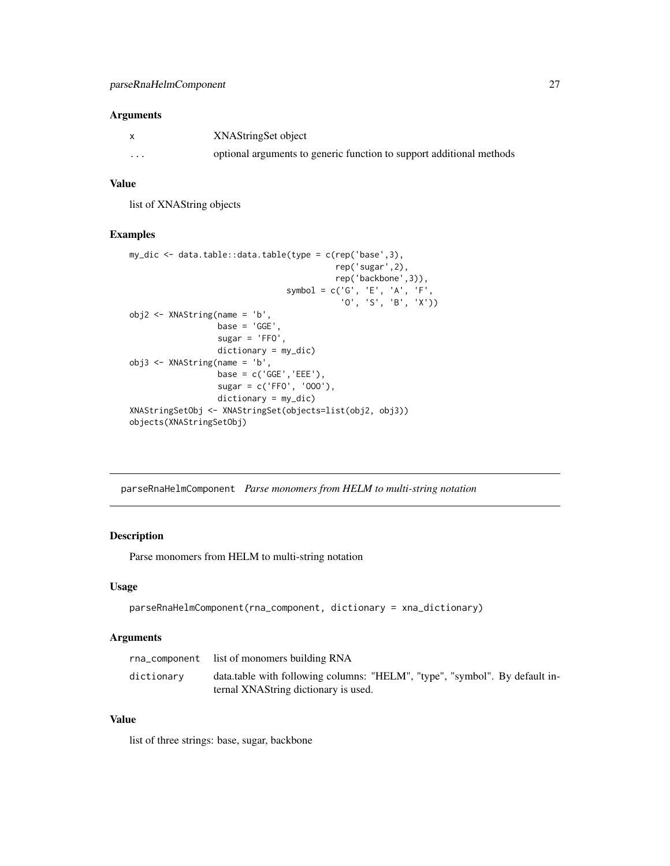#### <span id="page-26-0"></span>Arguments

|                   | XNAStringSet object                                                  |
|-------------------|----------------------------------------------------------------------|
| $\cdot\cdot\cdot$ | optional arguments to generic function to support additional methods |

# Value

list of XNAString objects

# Examples

```
my_dic <- data.table::data.table(type = c(rep('base',3),
                                          rep('sugar',2),
                                          rep('backbone',3)),
                                symbol = c('G', 'E', 'A', 'F','O', 'S', 'B', 'X'))
obj2 \leq XN>AString(name = 'b',base = 'GGE',sugar = 'FFO',
                  dictionary = my_dic)
obj3 <- XNAString(name = 'b',
                  base = c('GGE', 'EEE'),sugar = c('FFO', 'OOO'),
                  dictionary = my_dic)
XNAStringSetObj <- XNAStringSet(objects=list(obj2, obj3))
objects(XNAStringSetObj)
```
parseRnaHelmComponent *Parse monomers from HELM to multi-string notation*

# Description

Parse monomers from HELM to multi-string notation

# Usage

```
parseRnaHelmComponent(rna_component, dictionary = xna_dictionary)
```
# Arguments

|            | rna_component list of monomers building RNA                                                                         |
|------------|---------------------------------------------------------------------------------------------------------------------|
| dictionary | data.table with following columns: "HELM", "type", "symbol". By default in-<br>ternal XNAString dictionary is used. |

# Value

list of three strings: base, sugar, backbone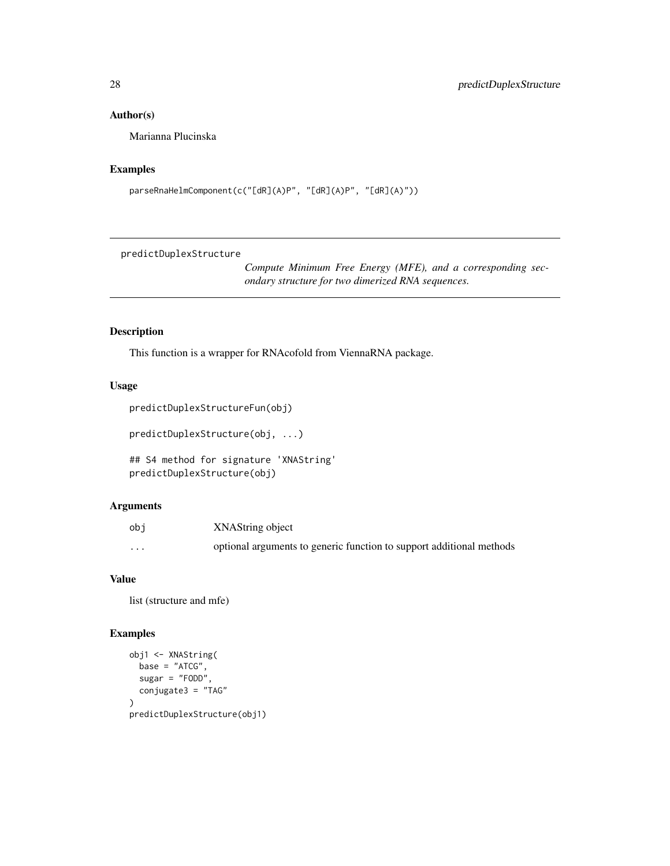# <span id="page-27-0"></span>Author(s)

Marianna Plucinska

#### Examples

```
parseRnaHelmComponent(c("[dR](A)P", "[dR](A)P", "[dR](A)"))
```
predictDuplexStructure

*Compute Minimum Free Energy (MFE), and a corresponding secondary structure for two dimerized RNA sequences.*

#### Description

This function is a wrapper for RNAcofold from ViennaRNA package.

### Usage

```
predictDuplexStructureFun(obj)
```
predictDuplexStructure(obj, ...)

```
## S4 method for signature 'XNAString'
predictDuplexStructure(obj)
```
# Arguments

| obi               | XNAString object                                                     |
|-------------------|----------------------------------------------------------------------|
| $\cdot\cdot\cdot$ | optional arguments to generic function to support additional methods |

# Value

list (structure and mfe)

```
obj1 <- XNAString(
  base = "ATCG",sugar = "FODD",
  conjugate3 = "TAG"
\lambdapredictDuplexStructure(obj1)
```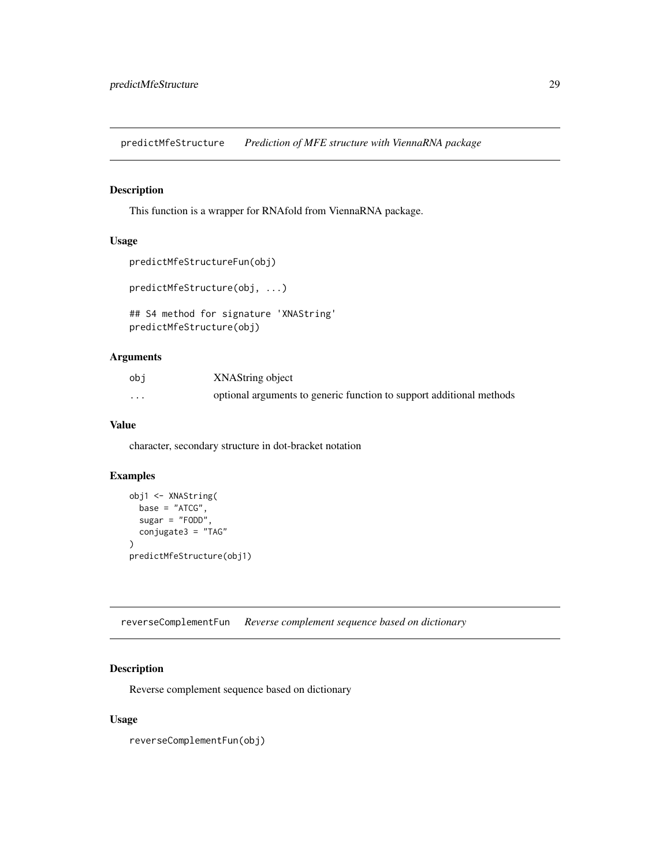<span id="page-28-0"></span>predictMfeStructure *Prediction of MFE structure with ViennaRNA package*

#### Description

This function is a wrapper for RNAfold from ViennaRNA package.

# Usage

```
predictMfeStructureFun(obj)
```

```
predictMfeStructure(obj, ...)
```

```
## S4 method for signature 'XNAString'
predictMfeStructure(obj)
```
# Arguments

| obi      | XNAString object                                                     |
|----------|----------------------------------------------------------------------|
| $\cdots$ | optional arguments to generic function to support additional methods |

### Value

character, secondary structure in dot-bracket notation

#### Examples

```
obj1 <- XNAString(
  base = "ATCG",sugar = "FODD",
  conjugate3 = "TAG"
)
predictMfeStructure(obj1)
```
reverseComplementFun *Reverse complement sequence based on dictionary*

#### Description

Reverse complement sequence based on dictionary

# Usage

reverseComplementFun(obj)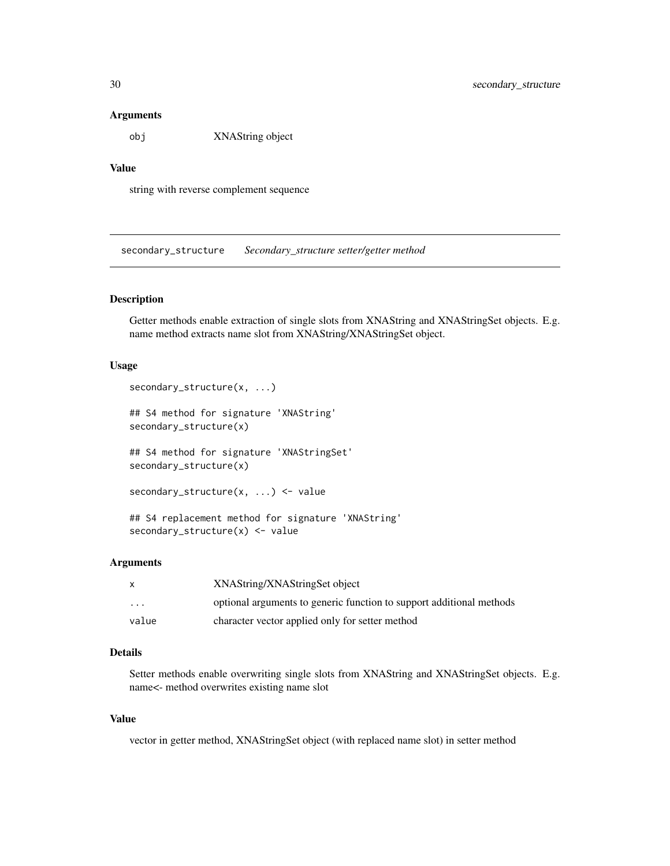#### <span id="page-29-0"></span>Arguments

obj XNAString object

# Value

string with reverse complement sequence

secondary\_structure *Secondary\_structure setter/getter method*

#### Description

Getter methods enable extraction of single slots from XNAString and XNAStringSet objects. E.g. name method extracts name slot from XNAString/XNAStringSet object.

#### Usage

```
secondary_structure(x, ...)
## S4 method for signature 'XNAString'
secondary_structure(x)
## S4 method for signature 'XNAStringSet'
secondary_structure(x)
secondary_structure(x, ...) <- value
## S4 replacement method for signature 'XNAString'
secondary_structure(x) <- value
```
#### Arguments

| $\mathsf{x}$            | XNAString/XNAStringSet object                                        |
|-------------------------|----------------------------------------------------------------------|
| $\cdot$ $\cdot$ $\cdot$ | optional arguments to generic function to support additional methods |
| value                   | character vector applied only for setter method                      |

#### Details

Setter methods enable overwriting single slots from XNAString and XNAStringSet objects. E.g. name<- method overwrites existing name slot

#### Value

vector in getter method, XNAStringSet object (with replaced name slot) in setter method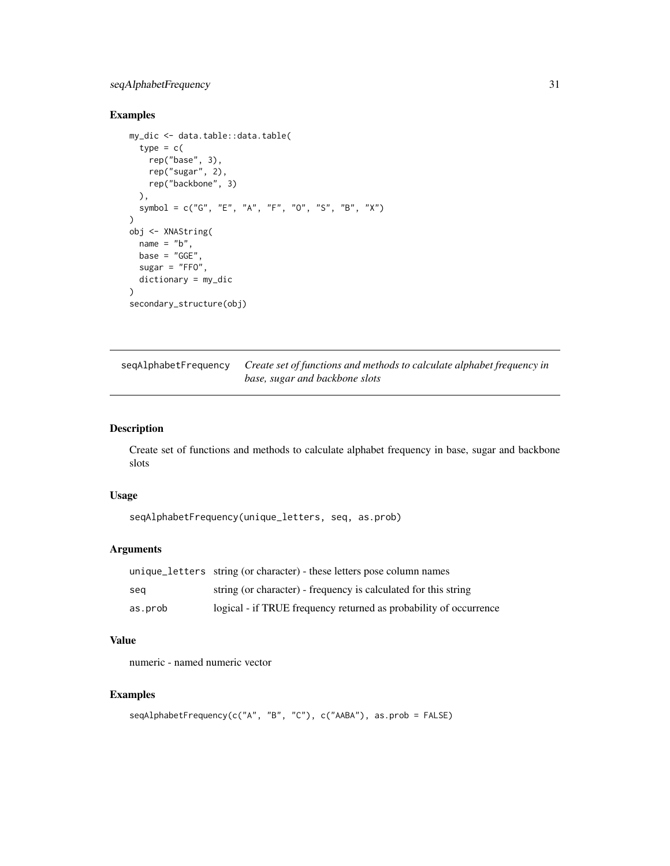# <span id="page-30-0"></span>seqAlphabetFrequency 31

# Examples

```
my_dic <- data.table::data.table(
  type = c(rep("base", 3),
    rep("sugar", 2),
   rep("backbone", 3)
  ),
  symbol = c("G", "E", "A", "F", "O", "S", "B", "X")
)
obj <- XNAString(
  name = "b",base = "GGE",sugar = "FFO",dictionary = my_dic
\lambdasecondary_structure(obj)
```
seqAlphabetFrequency *Create set of functions and methods to calculate alphabet frequency in base, sugar and backbone slots*

#### Description

Create set of functions and methods to calculate alphabet frequency in base, sugar and backbone slots

#### Usage

```
seqAlphabetFrequency(unique_letters, seq, as.prob)
```
# Arguments

|         | unique_letters string (or character) - these letters pose column names |
|---------|------------------------------------------------------------------------|
| sea     | string (or character) - frequency is calculated for this string        |
| as.prob | logical - if TRUE frequency returned as probability of occurrence      |

#### Value

numeric - named numeric vector

```
seqAlphabetFrequency(c("A", "B", "C"), c("AABA"), as.prob = FALSE)
```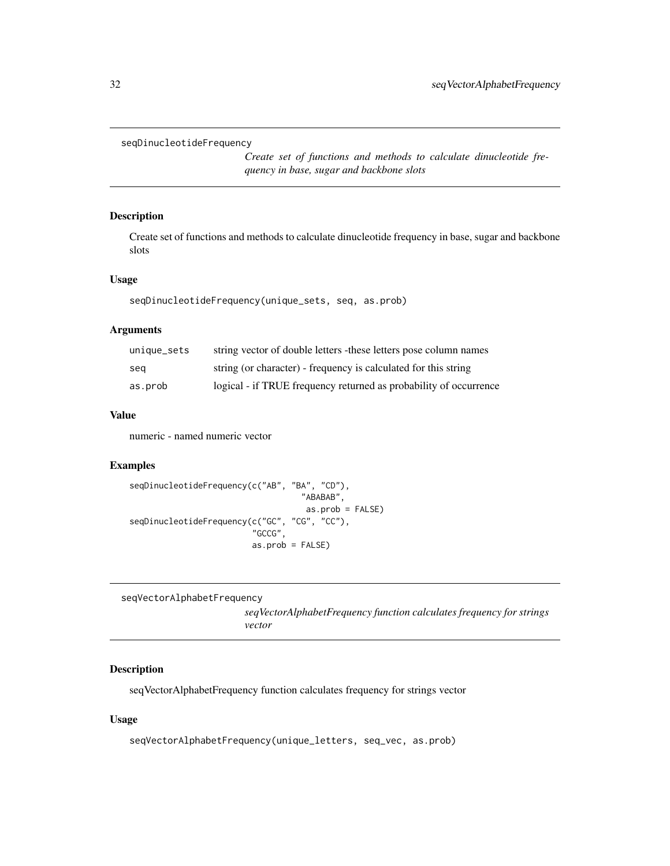```
seqDinucleotideFrequency
```
*Create set of functions and methods to calculate dinucleotide frequency in base, sugar and backbone slots*

# Description

Create set of functions and methods to calculate dinucleotide frequency in base, sugar and backbone slots

#### Usage

```
seqDinucleotideFrequency(unique_sets, seq, as.prob)
```
#### Arguments

| unique_sets | string vector of double letters - these letters pose column names |
|-------------|-------------------------------------------------------------------|
| seg         | string (or character) - frequency is calculated for this string   |
| as.prob     | logical - if TRUE frequency returned as probability of occurrence |

# Value

numeric - named numeric vector

# Examples

```
seqDinucleotideFrequency(c("AB", "BA", "CD"),
                                    "ABABAB",
                                    as.prob = FALSE)
seqDinucleotideFrequency(c("GC", "CG", "CC"),
                         "GCCG",
                         as.prob = FALSE)
```

```
seqVectorAlphabetFrequency
```
*seqVectorAlphabetFrequency function calculates frequency for strings vector*

# Description

seqVectorAlphabetFrequency function calculates frequency for strings vector

```
seqVectorAlphabetFrequency(unique_letters, seq_vec, as.prob)
```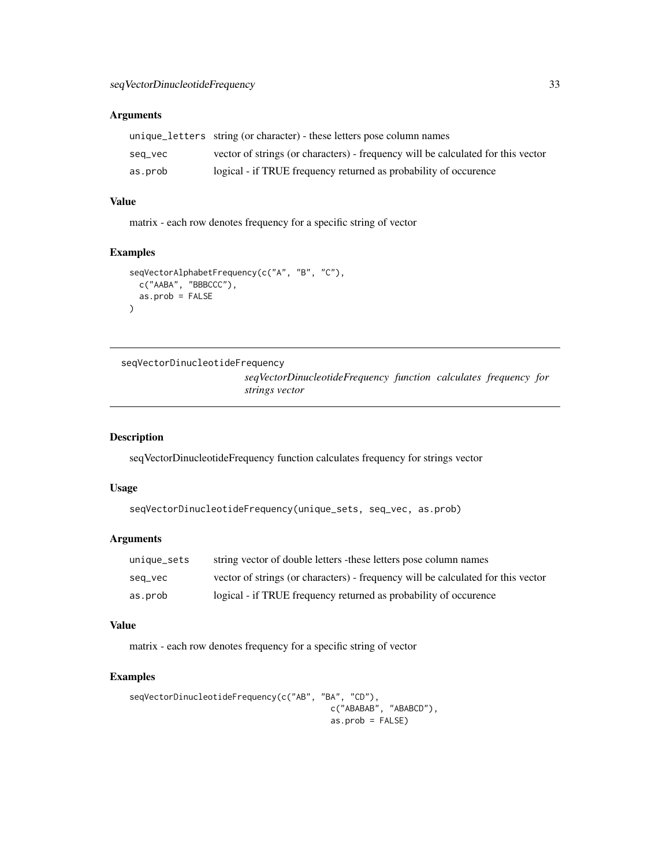# <span id="page-32-0"></span>Arguments

|         | unique_letters string (or character) - these letters pose column names           |
|---------|----------------------------------------------------------------------------------|
| seq_vec | vector of strings (or characters) - frequency will be calculated for this vector |
| as.prob | logical - if TRUE frequency returned as probability of occurence                 |

# Value

matrix - each row denotes frequency for a specific string of vector

# Examples

```
seqVectorAlphabetFrequency(c("A", "B", "C"),
  c("AABA", "BBBCCC"),
  as.prob = FALSE
)
```

```
seqVectorDinucleotideFrequency
                         seqVectorDinucleotideFrequency function calculates frequency for
                         strings vector
```
# Description

seqVectorDinucleotideFrequency function calculates frequency for strings vector

# Usage

```
seqVectorDinucleotideFrequency(unique_sets, seq_vec, as.prob)
```
#### Arguments

| unique_sets | string vector of double letters - these letters pose column names                |
|-------------|----------------------------------------------------------------------------------|
| seq_vec     | vector of strings (or characters) - frequency will be calculated for this vector |
| as.prob     | logical - if TRUE frequency returned as probability of occurence                 |

# Value

matrix - each row denotes frequency for a specific string of vector

```
seqVectorDinucleotideFrequency(c("AB", "BA", "CD"),
                                        c("ABABAB", "ABABCD"),
                                         as.prob = FALSE)
```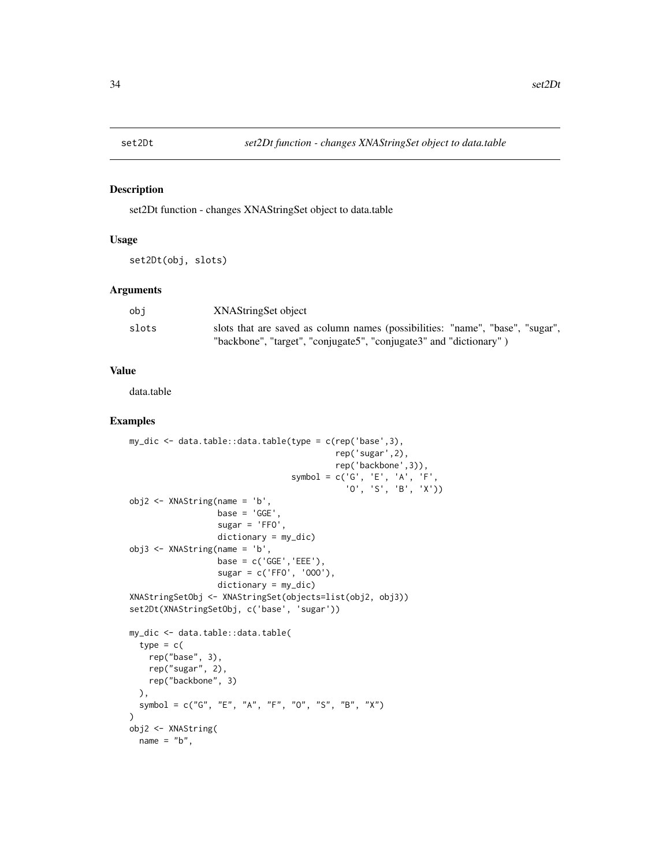<span id="page-33-0"></span>

#### Description

set2Dt function - changes XNAStringSet object to data.table

# Usage

set2Dt(obj, slots)

#### Arguments

| obi   | XNAStringSet object                                                           |
|-------|-------------------------------------------------------------------------------|
| slots | slots that are saved as column names (possibilities: "name", "base", "sugar", |
|       | "backbone", "target", "conjugate5", "conjugate3" and "dictionary")            |

#### Value

data.table

```
my_dic <- data.table::data.table(type = c(rep('base',3),
                                          rep('sugar',2),
                                          rep('backbone',3)),
                                  symbol = c('G', 'E', 'A', 'F',
                                             'O', 'S', 'B', 'X'))
obj2 <- XNAString(name = 'b',
                  base = 'GGE',sugar = 'FFO',
                  dictionary = my_dic)
obj3 <- XNAString(name = 'b',
                  base = c('GGE','EEE'),
                  sugar = c('FFO', 'OOO'),
                  dictionary = my_dic)
XNAStringSetObj <- XNAStringSet(objects=list(obj2, obj3))
set2Dt(XNAStringSetObj, c('base', 'sugar'))
my_dic <- data.table::data.table(
  type = c(
   rep("base", 3),
   rep("sugar", 2),rep("backbone", 3)
  ),
  symbol = c("G", "E", "A", "F", "O", "S", "B", "X")
)
obj2 <- XNAString(
 name = "b",
```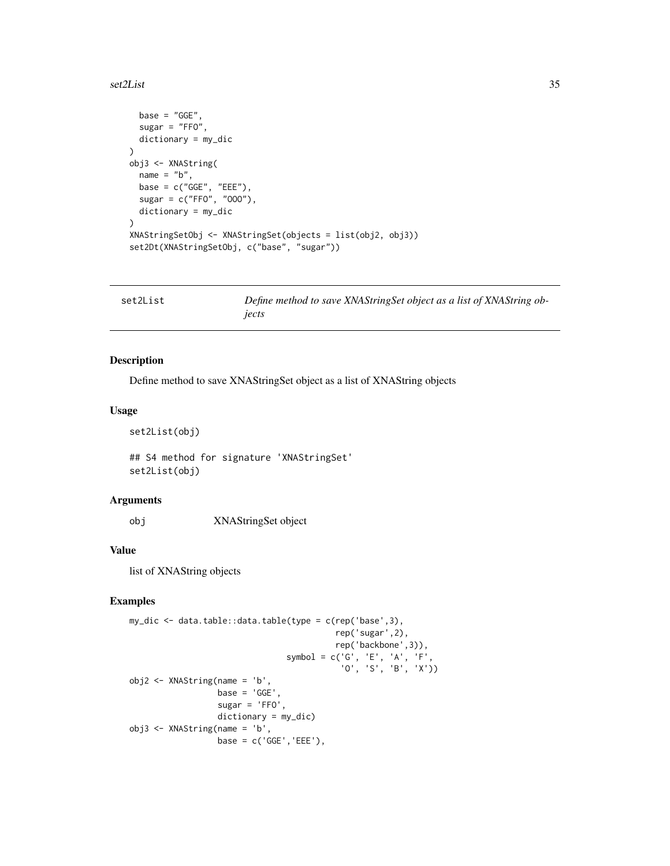#### <span id="page-34-0"></span>set2List 35

```
base = "GGE",sugar = "FFO",
  dictionary = my_dic
\mathcal{L}obj3 <- XNAString(
 name = "b",base = c("GGE", "EEE"),sugar = c("FFO", "OOO"),
  dictionary = my_dic
)
XNAStringSetObj <- XNAStringSet(objects = list(obj2, obj3))
set2Dt(XNAStringSetObj, c("base", "sugar"))
```

| set2List | Define method to save XNAStringSet object as a list of XNAString ob- |
|----------|----------------------------------------------------------------------|
|          | jects                                                                |

# Description

Define method to save XNAStringSet object as a list of XNAString objects

#### Usage

set2List(obj)

## S4 method for signature 'XNAStringSet' set2List(obj)

# Arguments

obj XNAStringSet object

#### Value

list of XNAString objects

```
my_dic <- data.table::data.table(type = c(rep('base',3),
                                          rep('sugar',2),
                                          rep('backbone',3)),
                                 symbol = c('G', 'E', 'A', 'F',
                                            'O', 'S', 'B', 'X'))
obj2 <- XNAString(name = 'b',
                  base = 'GGE',sugar = 'FFO',
                  dictionary = my_dic)
obj3 <- XNAString(name = 'b',
                  base = c('GGE', 'EEE'),
```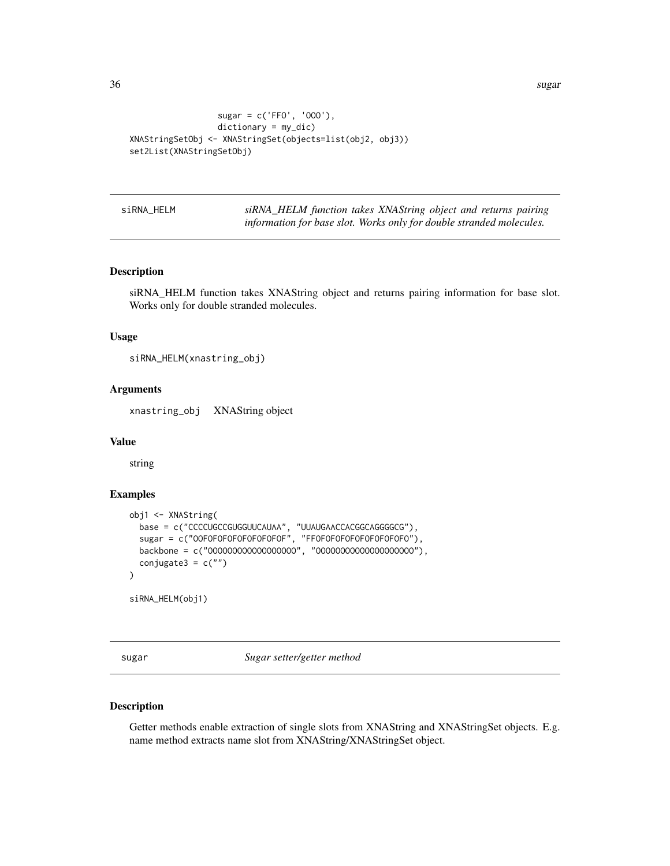```
sugar = c('FFO', 'OOO'),
                  dictionary = my_dic)
XNAStringSetObj <- XNAStringSet(objects=list(obj2, obj3))
set2List(XNAStringSetObj)
```
siRNA\_HELM *siRNA\_HELM function takes XNAString object and returns pairing information for base slot. Works only for double stranded molecules.*

#### Description

siRNA\_HELM function takes XNAString object and returns pairing information for base slot. Works only for double stranded molecules.

#### Usage

```
siRNA_HELM(xnastring_obj)
```
#### Arguments

xnastring\_obj XNAString object

#### Value

string

# Examples

```
obj1 <- XNAString(
  base = c("CCCCUGCCGUGGUUCAUAA", "UUAUGAACCACGGCAGGGGCG"),
  sugar = c("OOFOFOFOFOFOFOFOFOFOF", "FFOFOFOFOFOFOFOFOFOFO"),
  backbone = c("OOOOOOOOOOOOOOOOOO", "OOOOOOOOOOOOOOOOOOOO"),
  conjugate3 = c(""))
siRNA_HELM(obj1)
```
sugar *Sugar setter/getter method*

# Description

Getter methods enable extraction of single slots from XNAString and XNAStringSet objects. E.g. name method extracts name slot from XNAString/XNAStringSet object.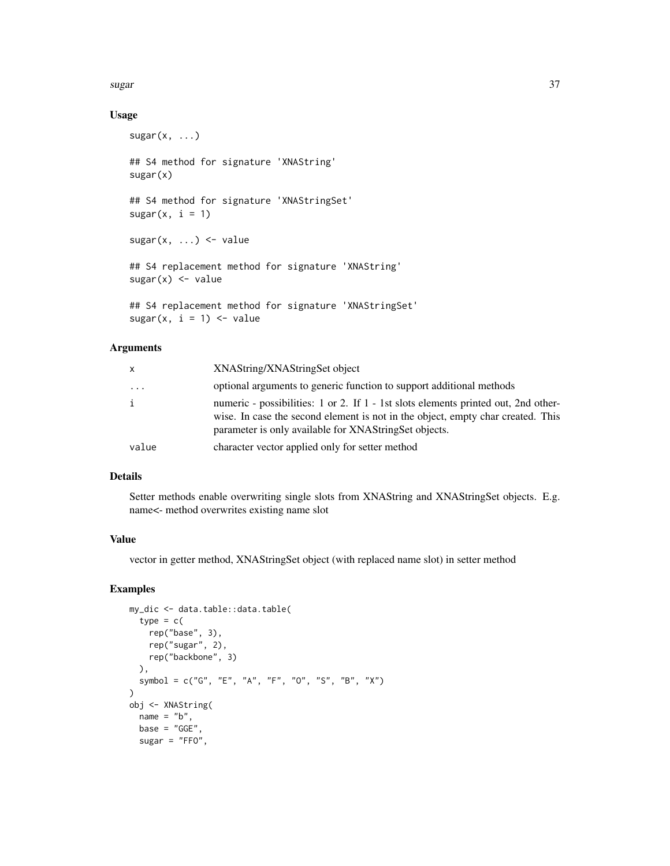sugar 37

#### Usage

```
sugar(x, \ldots)## S4 method for signature 'XNAString'
sugar(x)
## S4 method for signature 'XNAStringSet'
sugar(x, i = 1)sugar(x, \ldots) \leq value## S4 replacement method for signature 'XNAString'
sugar(x) < - value
## S4 replacement method for signature 'XNAStringSet'
sugar(x, i = 1) \leftarrow value
```
#### Arguments

| x     | XNAString/XNAStringSet object                                                                                                                                                                                                  |
|-------|--------------------------------------------------------------------------------------------------------------------------------------------------------------------------------------------------------------------------------|
| .     | optional arguments to generic function to support additional methods                                                                                                                                                           |
| i     | numeric - possibilities: 1 or 2. If 1 - 1st slots elements printed out, 2nd other-<br>wise. In case the second element is not in the object, empty char created. This<br>parameter is only available for XNAStringSet objects. |
| value | character vector applied only for setter method                                                                                                                                                                                |

# Details

Setter methods enable overwriting single slots from XNAString and XNAStringSet objects. E.g. name<- method overwrites existing name slot

#### Value

vector in getter method, XNAStringSet object (with replaced name slot) in setter method

```
my_dic <- data.table::data.table(
  type = c(rep("base", 3),
   rep("sugar", 2),
   rep("backbone", 3)
  ),
  symbol = c("G", "E", "A", "F", "O", "S", "B", "X")
)
obj <- XNAString(
 name = "b",
 base = "GGE"sugar = "FFO",
```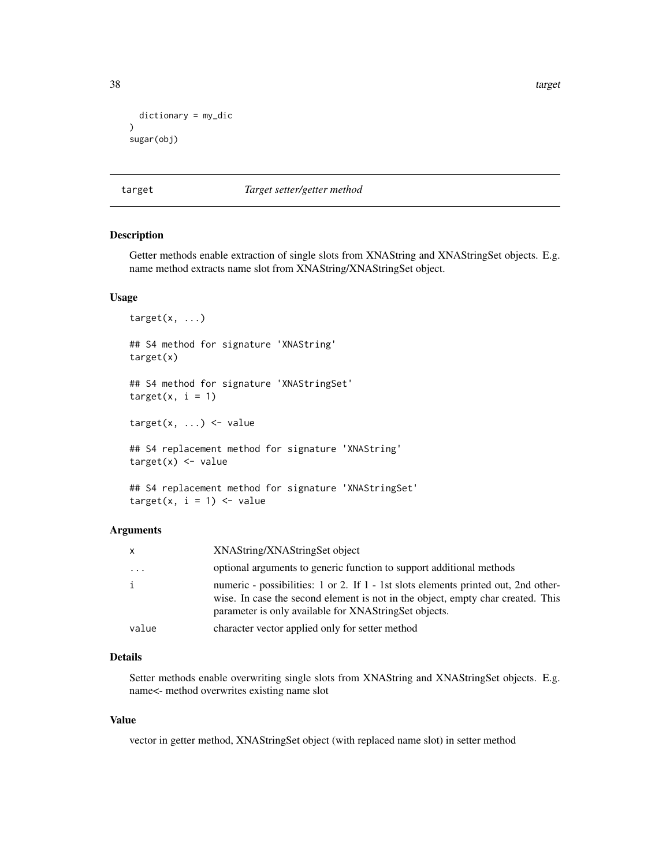38 target the contract of the contract of the contract of the contract of the contract of the contract of the contract of the contract of the contract of the contract of the contract of the contract of the contract of the

```
dictionary = my_dic
\mathcal{L}sugar(obj)
```
#### target *Target setter/getter method*

#### Description

Getter methods enable extraction of single slots from XNAString and XNAStringSet objects. E.g. name method extracts name slot from XNAString/XNAStringSet object.

#### Usage

target(x, ...) ## S4 method for signature 'XNAString' target(x) ## S4 method for signature 'XNAStringSet'  $target(x, i = 1)$  $target(x, ...) \leq value$ ## S4 replacement method for signature 'XNAString'  $target(x) < - value$ ## S4 replacement method for signature 'XNAStringSet'  $target(x, i = 1) \leq value$ 

#### Arguments

| X            | XNAString/XNAStringSet object                                                                                                                                                                                                  |
|--------------|--------------------------------------------------------------------------------------------------------------------------------------------------------------------------------------------------------------------------------|
| $\cdots$     | optional arguments to generic function to support additional methods                                                                                                                                                           |
| $\mathbf{i}$ | numeric - possibilities: 1 or 2. If 1 - 1st slots elements printed out, 2nd other-<br>wise. In case the second element is not in the object, empty char created. This<br>parameter is only available for XNAStringSet objects. |
| value        | character vector applied only for setter method                                                                                                                                                                                |

#### Details

Setter methods enable overwriting single slots from XNAString and XNAStringSet objects. E.g. name<- method overwrites existing name slot

#### Value

vector in getter method, XNAStringSet object (with replaced name slot) in setter method

<span id="page-37-0"></span>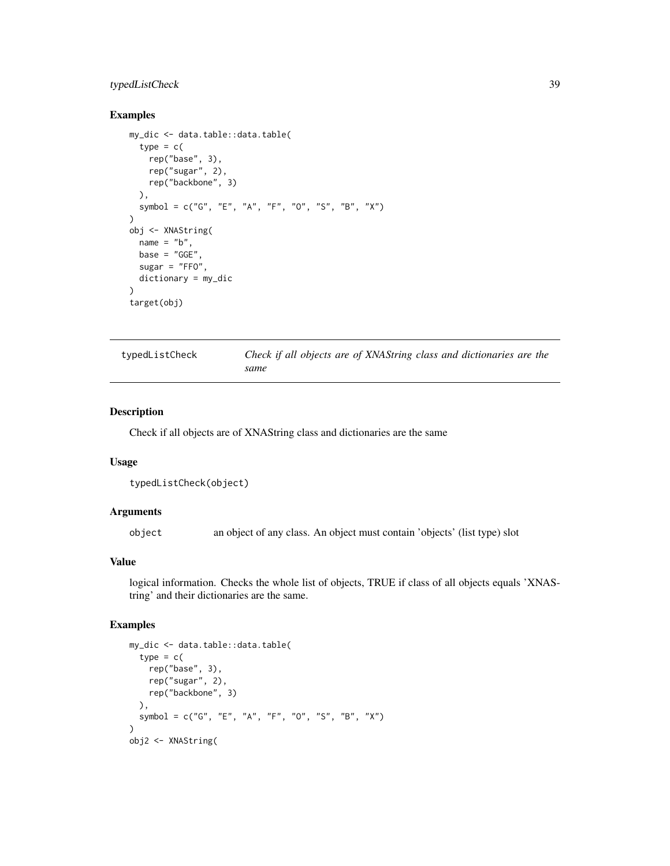# <span id="page-38-0"></span>typedListCheck 39

#### Examples

```
my_dic <- data.table::data.table(
  type = c(rep("base", 3),
    rep("sugar", 2),
    rep("backbone", 3)
  ),
  symbol = c("G", "E", "A", "F", "O", "S", "B", "X")
\overline{)}obj <- XNAString(
  name = "b",
 base = "GGE"sugar = "FFO",dictionary = my_dic
)
target(obj)
```

| typedListCheck | Check if all objects are of XNAString class and dictionaries are the |
|----------------|----------------------------------------------------------------------|
|                | same                                                                 |

#### Description

Check if all objects are of XNAString class and dictionaries are the same

# Usage

```
typedListCheck(object)
```
# Arguments

object an object of any class. An object must contain 'objects' (list type) slot

# Value

logical information. Checks the whole list of objects, TRUE if class of all objects equals 'XNAString' and their dictionaries are the same.

```
my_dic <- data.table::data.table(
  type = c(rep("base", 3),
   rep("sugar", 2),
   rep("backbone", 3)
  ),
  symbol = c("G", "E", "A", "F", "O", "S", "B", "X")
\lambdaobj2 <- XNAString(
```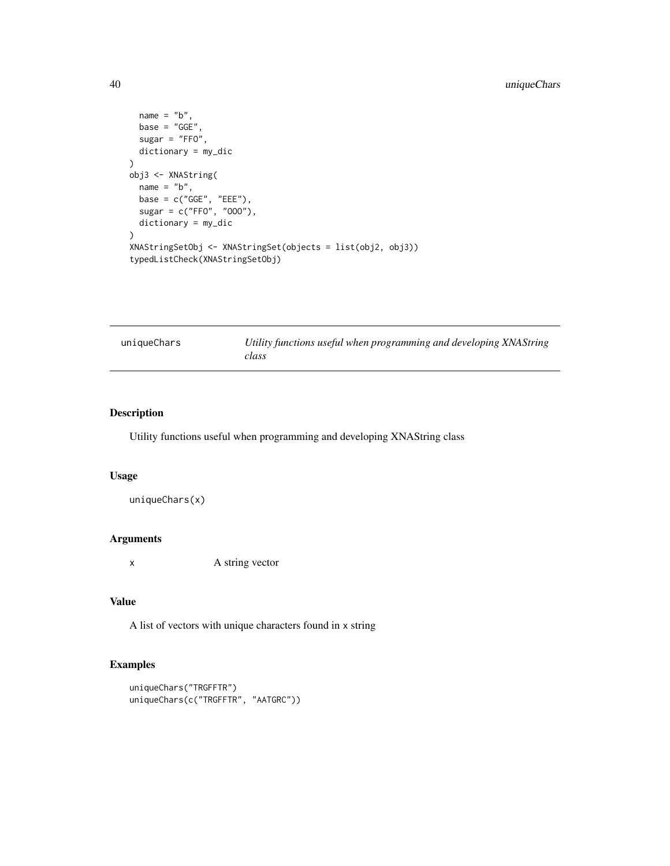```
name = "b",base = "GGE",sugar = "FFO",
  dictionary = my_dic
)
obj3 <- XNAString(
 name = "b",base = c("GGE", "EEE"),
  sugar = c("FFO", "OOO"),
  dictionary = my_dic
)
XNAStringSetObj <- XNAStringSet(objects = list(obj2, obj3))
typedListCheck(XNAStringSetObj)
```

| uniqueChars | Utility functions useful when programming and developing XNAString |
|-------------|--------------------------------------------------------------------|
|             | class                                                              |

# Description

Utility functions useful when programming and developing XNAString class

#### Usage

uniqueChars(x)

# Arguments

x A string vector

# Value

A list of vectors with unique characters found in x string

```
uniqueChars("TRGFFTR")
uniqueChars(c("TRGFFTR", "AATGRC"))
```
<span id="page-39-0"></span>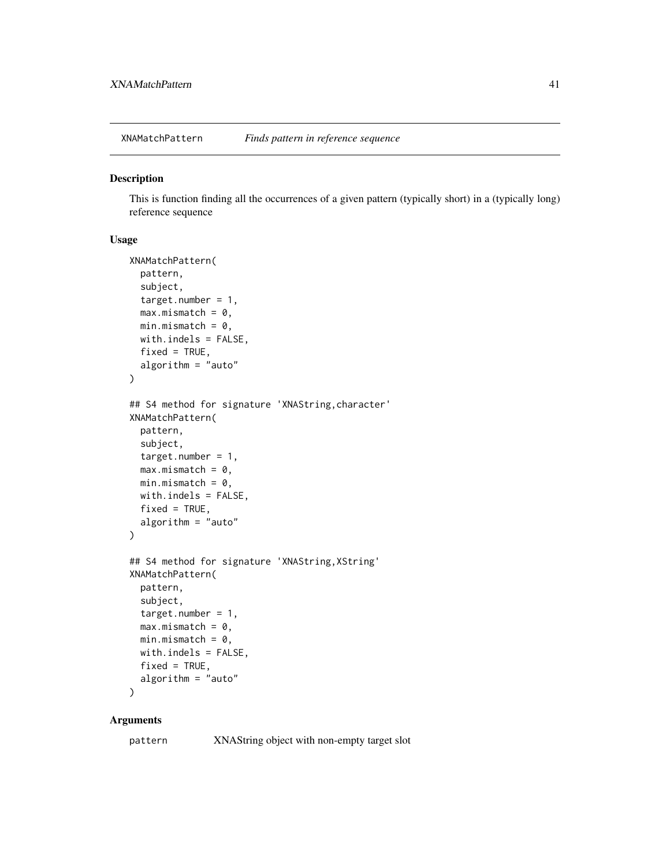<span id="page-40-0"></span>XNAMatchPattern *Finds pattern in reference sequence*

#### Description

This is function finding all the occurrences of a given pattern (typically short) in a (typically long) reference sequence

# Usage

```
XNAMatchPattern(
 pattern,
  subject,
  target.number = 1,
 max.mismatch = 0,min.mistch = 0,
 with.indels = FALSE,
  fixed = TRUE,
 algorithm = "auto"
)
## S4 method for signature 'XNAString,character'
XNAMatchPattern(
 pattern,
  subject,
  target.number = 1,
 max.mismatch = 0,
 min.mistch = 0,
 with.indels = FALSE,
 fixed = TRUE,algorithm = "auto"
)
## S4 method for signature 'XNAString, XString'
XNAMatchPattern(
 pattern,
  subject,
  target.number = 1,
 max.mismatch = 0,
 min.mistch = 0,
 with.indels = FALSE,
 fixed = TRUE,algorithm = "auto"
)
```
#### Arguments

pattern XNAString object with non-empty target slot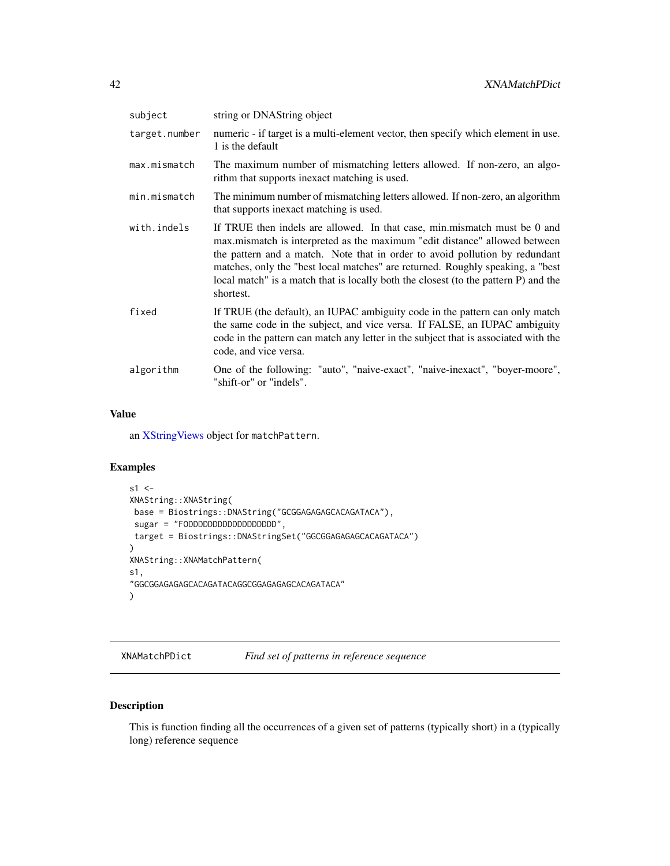<span id="page-41-0"></span>

| subject       | string or DNAString object                                                                                                                                                                                                                                                                                                                                                                                                   |
|---------------|------------------------------------------------------------------------------------------------------------------------------------------------------------------------------------------------------------------------------------------------------------------------------------------------------------------------------------------------------------------------------------------------------------------------------|
| target.number | numeric - if target is a multi-element vector, then specify which element in use.<br>1 is the default                                                                                                                                                                                                                                                                                                                        |
| max.mismatch  | The maximum number of mismatching letters allowed. If non-zero, an algo-<br>rithm that supports inexact matching is used.                                                                                                                                                                                                                                                                                                    |
| min.mismatch  | The minimum number of mismatching letters allowed. If non-zero, an algorithm<br>that supports inexact matching is used.                                                                                                                                                                                                                                                                                                      |
| with.indels   | If TRUE then indels are allowed. In that case, min.mismatch must be 0 and<br>max mismatch is interpreted as the maximum "edit distance" allowed between<br>the pattern and a match. Note that in order to avoid pollution by redundant<br>matches, only the "best local matches" are returned. Roughly speaking, a "best<br>local match" is a match that is locally both the closest (to the pattern P) and the<br>shortest. |
| fixed         | If TRUE (the default), an IUPAC ambiguity code in the pattern can only match<br>the same code in the subject, and vice versa. If FALSE, an IUPAC ambiguity<br>code in the pattern can match any letter in the subject that is associated with the<br>code, and vice versa.                                                                                                                                                   |
| algorithm     | One of the following: "auto", "naive-exact", "naive-inexact", "boyer-moore",<br>"shift-or" or "indels".                                                                                                                                                                                                                                                                                                                      |
|               |                                                                                                                                                                                                                                                                                                                                                                                                                              |

# Value

an [XStringViews](#page-0-0) object for matchPattern.

# Examples

```
s1 < -XNAString::XNAString(
base = Biostrings::DNAString("GCGGAGAGAGCACAGATACA"),
sugar = "FODDDDDDDDDDDDDDDDD",
target = Biostrings::DNAStringSet("GGCGGAGAGAGCACAGATACA")
\lambdaXNAString::XNAMatchPattern(
s1,
"GGCGGAGAGAGCACAGATACAGGCGGAGAGAGCACAGATACA"
)
```
XNAMatchPDict *Find set of patterns in reference sequence*

# Description

This is function finding all the occurrences of a given set of patterns (typically short) in a (typically long) reference sequence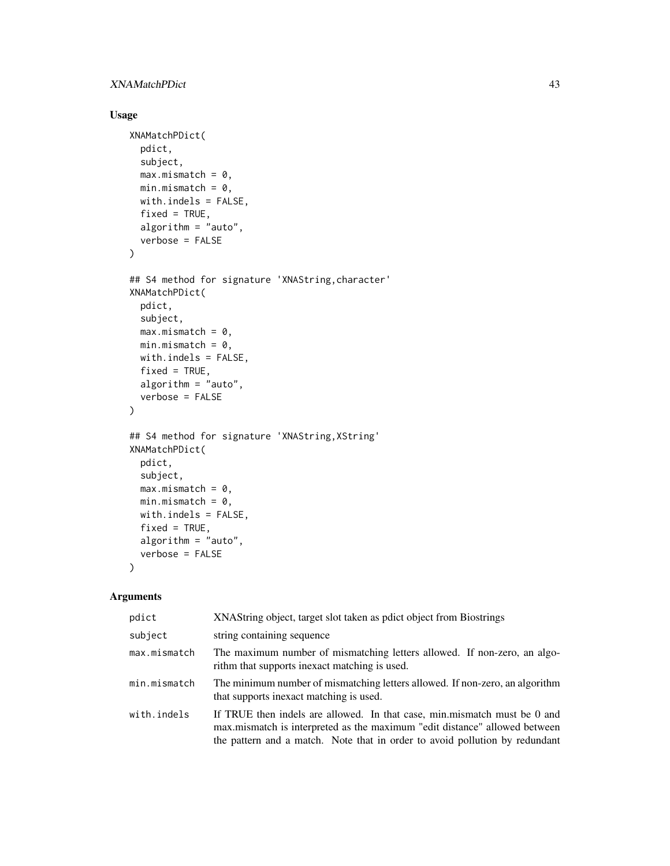# XNAMatchPDict 43

# Usage

```
XNAMatchPDict(
  pdict,
  subject,
  max.mismatch = 0,min.mistch = 0,
  with.indels = FALSE,
  fixed = TRUE,algorithm = "auto",
  verbose = FALSE
\mathcal{L}## S4 method for signature 'XNAString, character'
XNAMatchPDict(
  pdict,
  subject,
  max.mismatch = 0,
  min.mistch = 0,
  with.indels = FALSE,
  fixed = TRUE,algorithm = "auto",
  verbose = FALSE
)
## S4 method for signature 'XNAString,XString'
XNAMatchPDict(
  pdict,
  subject,
  max.mismatch = 0,min.mistch = 0,
  with.indels = FALSE,
  fixed = TRUE,algorithm = "auto",
  verbose = FALSE
\mathcal{L}
```

| pdict        | XNAString object, target slot taken as polict object from Biostrings                                                                                                                                                                   |  |
|--------------|----------------------------------------------------------------------------------------------------------------------------------------------------------------------------------------------------------------------------------------|--|
| subject      | string containing sequence                                                                                                                                                                                                             |  |
| max.mismatch | The maximum number of mismatching letters allowed. If non-zero, an algo-<br>rithm that supports inexact matching is used.                                                                                                              |  |
| min.mismatch | The minimum number of mismatching letters allowed. If non-zero, an algorithm<br>that supports inexact matching is used.                                                                                                                |  |
| with.indels  | If TRUE then indels are allowed. In that case, min.mismatch must be 0 and<br>max mismatch is interpreted as the maximum "edit distance" allowed between<br>the pattern and a match. Note that in order to avoid pollution by redundant |  |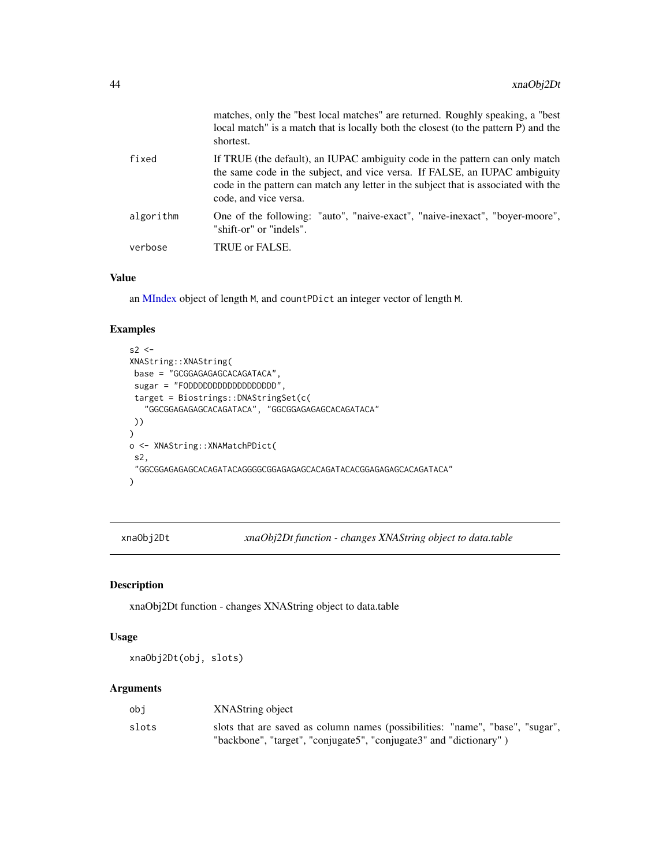<span id="page-43-0"></span>

|           | matches, only the "best local matches" are returned. Roughly speaking, a "best"<br>local match" is a match that is locally both the closest (to the pattern P) and the<br>shortest.                                                                                        |
|-----------|----------------------------------------------------------------------------------------------------------------------------------------------------------------------------------------------------------------------------------------------------------------------------|
| fixed     | If TRUE (the default), an IUPAC ambiguity code in the pattern can only match<br>the same code in the subject, and vice versa. If FALSE, an IUPAC ambiguity<br>code in the pattern can match any letter in the subject that is associated with the<br>code, and vice versa. |
| algorithm | One of the following: "auto", "naive-exact", "naive-inexact", "boyer-moore",<br>"shift-or" or "indels".                                                                                                                                                                    |
| verbose   | TRUE or FALSE.                                                                                                                                                                                                                                                             |

#### Value

an [MIndex](#page-0-0) object of length M, and countPDict an integer vector of length M.

#### Examples

```
s2 < -XNAString::XNAString(
base = "GCGGAGAGAGCACAGATACA",
 sugar = "FODDDDDDDDDDDDDDDDDD",
 target = Biostrings::DNAStringSet(c(
   "GGCGGAGAGAGCACAGATACA", "GGCGGAGAGAGCACAGATACA"
 ))
)
o <- XNAString::XNAMatchPDict(
 s2,
 "GGCGGAGAGAGCACAGATACAGGGGCGGAGAGAGCACAGATACACGGAGAGAGCACAGATACA"
\mathcal{L}
```
xnaObj2Dt *xnaObj2Dt function - changes XNAString object to data.table*

#### Description

xnaObj2Dt function - changes XNAString object to data.table

#### Usage

xnaObj2Dt(obj, slots)

| obi   | XNAString object                                                              |
|-------|-------------------------------------------------------------------------------|
| slots | slots that are saved as column names (possibilities: "name", "base", "sugar", |
|       | "backbone", "target", "conjugate5", "conjugate3" and "dictionary")            |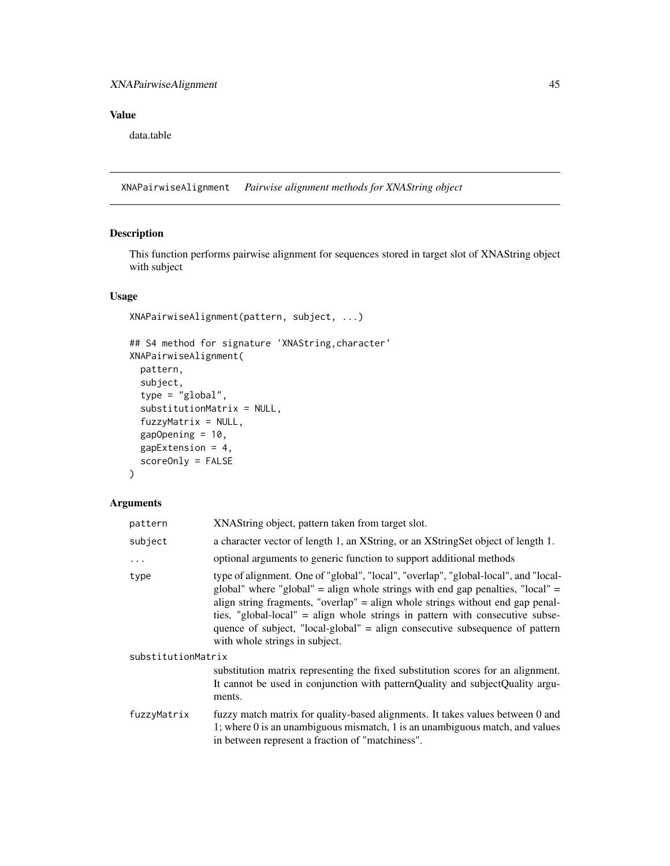# <span id="page-44-0"></span>XNAPairwiseAlignment 45

# Value

data.table

XNAPairwiseAlignment *Pairwise alignment methods for XNAString object*

# Description

This function performs pairwise alignment for sequences stored in target slot of XNAString object with subject

#### Usage

```
XNAPairwiseAlignment(pattern, subject, ...)
```

```
## S4 method for signature 'XNAString,character'
XNAPairwiseAlignment(
 pattern,
  subject,
  type = "global",
  substitutionMatrix = NULL,
  fuzzyMatrix = NULL,
  gapOpening = 10,gapExtension = 4,
  scoreOnly = FALSE
```
# )

| pattern            | XNAString object, pattern taken from target slot.                                                                                                                                                                                                                                                                                                                                                                                                          |  |
|--------------------|------------------------------------------------------------------------------------------------------------------------------------------------------------------------------------------------------------------------------------------------------------------------------------------------------------------------------------------------------------------------------------------------------------------------------------------------------------|--|
| subject            | a character vector of length 1, an XString, or an XStringSet object of length 1.                                                                                                                                                                                                                                                                                                                                                                           |  |
| .                  | optional arguments to generic function to support additional methods                                                                                                                                                                                                                                                                                                                                                                                       |  |
| type               | type of alignment. One of "global", "local", "overlap", "global-local", and "local-<br>global" where "global" = align whole strings with end gap penalties, "local" =<br>align string fragments, "overlap" = align whole strings without end gap penal-<br>ties, "global-local" = align whole strings in pattern with consecutive subse-<br>quence of subject, "local-global" = align consecutive subsequence of pattern<br>with whole strings in subject. |  |
| substitutionMatrix |                                                                                                                                                                                                                                                                                                                                                                                                                                                            |  |
|                    | substitution matrix representing the fixed substitution scores for an alignment.<br>It cannot be used in conjunction with patternQuality and subjectQuality argu-<br>ments.                                                                                                                                                                                                                                                                                |  |
| fuzzyMatrix        | fuzzy match matrix for quality-based alignments. It takes values between 0 and<br>1; where $0$ is an unambiguous mismatch, 1 is an unambiguous match, and values<br>in between represent a fraction of "matchiness".                                                                                                                                                                                                                                       |  |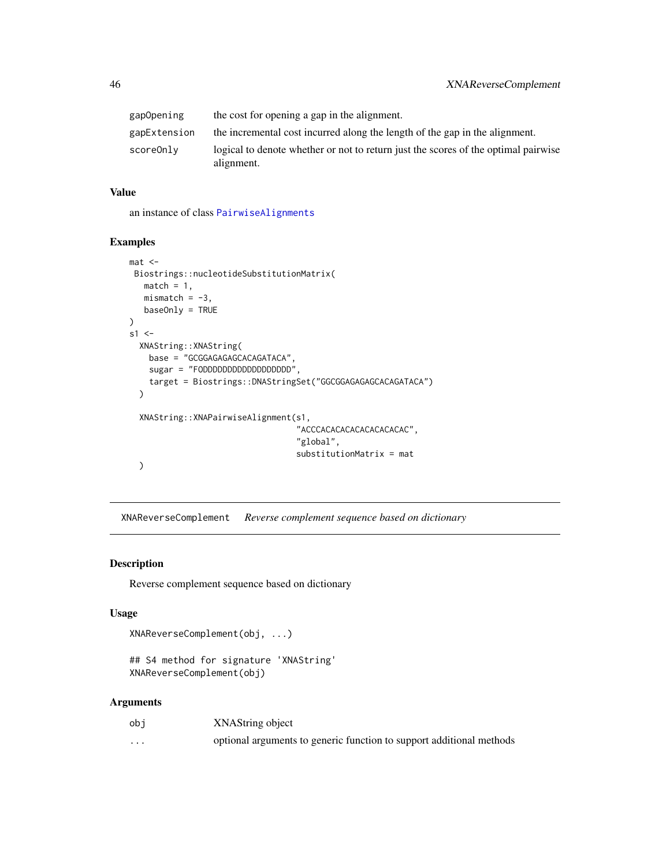<span id="page-45-0"></span>

| gapOpening   | the cost for opening a gap in the alignment.                                                     |
|--------------|--------------------------------------------------------------------------------------------------|
| gapExtension | the incremental cost incurred along the length of the gap in the alignment.                      |
| scoreOnly    | logical to denote whether or not to return just the scores of the optimal pairwise<br>alignment. |

# Value

an instance of class [PairwiseAlignments](#page-0-0)

#### Examples

```
mat <Biostrings::nucleotideSubstitutionMatrix(
  match = 1,
  mismatch = -3,
  baseOnly = TRUE
\mathcal{L}s1 < -XNAString::XNAString(
    base = "GCGGAGAGAGCACAGATACA",
    sugar = "FODDDDDDDDDDDDDDDDDD",
    target = Biostrings::DNAStringSet("GGCGGAGAGAGCACAGATACA")
  )
  XNAString::XNAPairwiseAlignment(s1,
                                   "ACCCACACACACACACACACAC",
                                   "global",
                                   substitutionMatrix = mat
  )
```
XNAReverseComplement *Reverse complement sequence based on dictionary*

#### Description

Reverse complement sequence based on dictionary

#### Usage

```
XNAReverseComplement(obj, ...)
```

```
## S4 method for signature 'XNAString'
XNAReverseComplement(obj)
```

| obi      | XNAString object                                                     |
|----------|----------------------------------------------------------------------|
| $\cdots$ | optional arguments to generic function to support additional methods |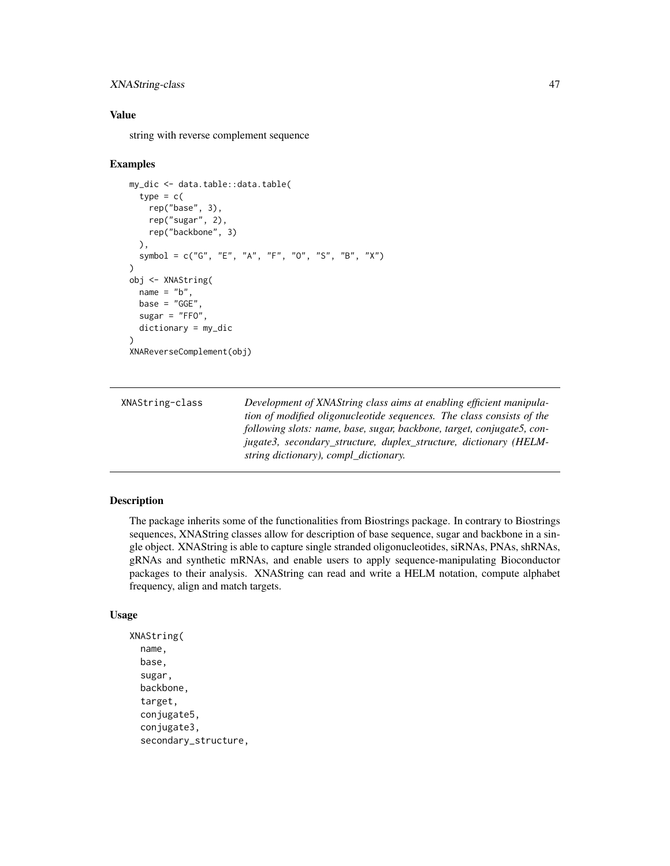# <span id="page-46-0"></span>XNAString-class 47

#### Value

string with reverse complement sequence

#### Examples

```
my_dic <- data.table::data.table(
 type = c(rep("base", 3),
   rep("sugar", 2),
   rep("backbone", 3)
 ),
 symbol = c("G", "E", "A", "F", "O", "S", "B", "X")
)
obj <- XNAString(
 name = "b",
 base = "GGE".
 sugar = "FFO",dictionary = my_dic
)
XNAReverseComplement(obj)
```

| XNAString-class | Development of XNAString class aims at enabling efficient manipula-    |
|-----------------|------------------------------------------------------------------------|
|                 | tion of modified oligonucleotide sequences. The class consists of the  |
|                 | following slots: name, base, sugar, backbone, target, conjugate5, con- |
|                 | jugate3, secondary_structure, duplex_structure, dictionary (HELM-      |
|                 | string dictionary), compl_dictionary.                                  |

### Description

The package inherits some of the functionalities from Biostrings package. In contrary to Biostrings sequences, XNAString classes allow for description of base sequence, sugar and backbone in a single object. XNAString is able to capture single stranded oligonucleotides, siRNAs, PNAs, shRNAs, gRNAs and synthetic mRNAs, and enable users to apply sequence-manipulating Bioconductor packages to their analysis. XNAString can read and write a HELM notation, compute alphabet frequency, align and match targets.

```
XNAString(
  name,
  base,
  sugar,
  backbone,
  target,
  conjugate5,
  conjugate3,
  secondary_structure,
```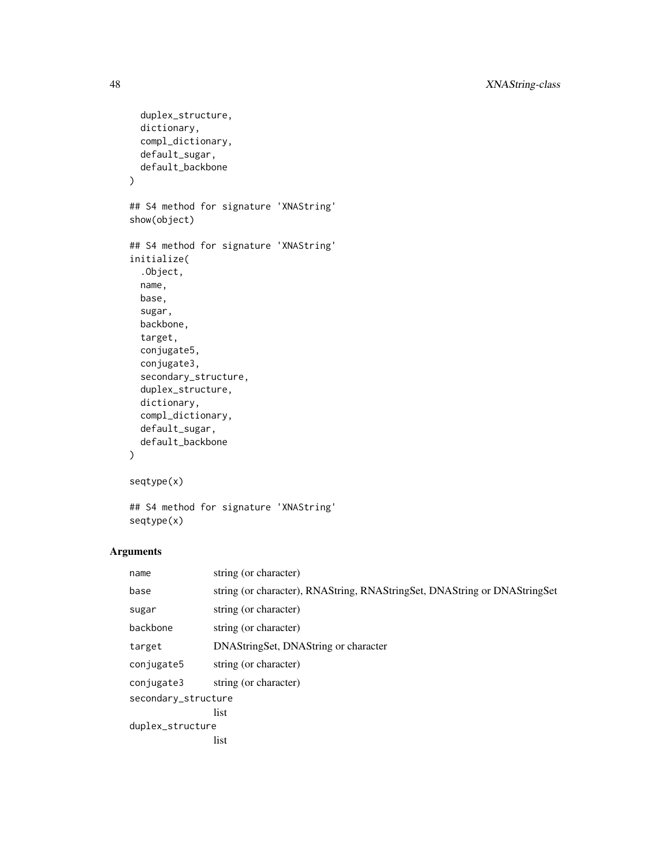```
duplex_structure,
  dictionary,
  compl_dictionary,
  default_sugar,
  default_backbone
\mathcal{L}## S4 method for signature 'XNAString'
show(object)
## S4 method for signature 'XNAString'
initialize(
  .Object,
 name,
 base,
  sugar,
 backbone,
  target,
  conjugate5,
  conjugate3,
  secondary_structure,
  duplex_structure,
  dictionary,
  compl_dictionary,
  default_sugar,
  default_backbone
\mathcal{L}seqtype(x)
```

```
## S4 method for signature 'XNAString'
seqtype(x)
```

| name                | string (or character)                                                     |  |
|---------------------|---------------------------------------------------------------------------|--|
| base                | string (or character), RNAString, RNAStringSet, DNAString or DNAStringSet |  |
| sugar               | string (or character)                                                     |  |
| backbone            | string (or character)                                                     |  |
| target              | DNAStringSet, DNAString or character                                      |  |
| conjugate5          | string (or character)                                                     |  |
| conjugate3          | string (or character)                                                     |  |
| secondary_structure |                                                                           |  |
|                     | list                                                                      |  |
| duplex_structure    |                                                                           |  |
|                     | list                                                                      |  |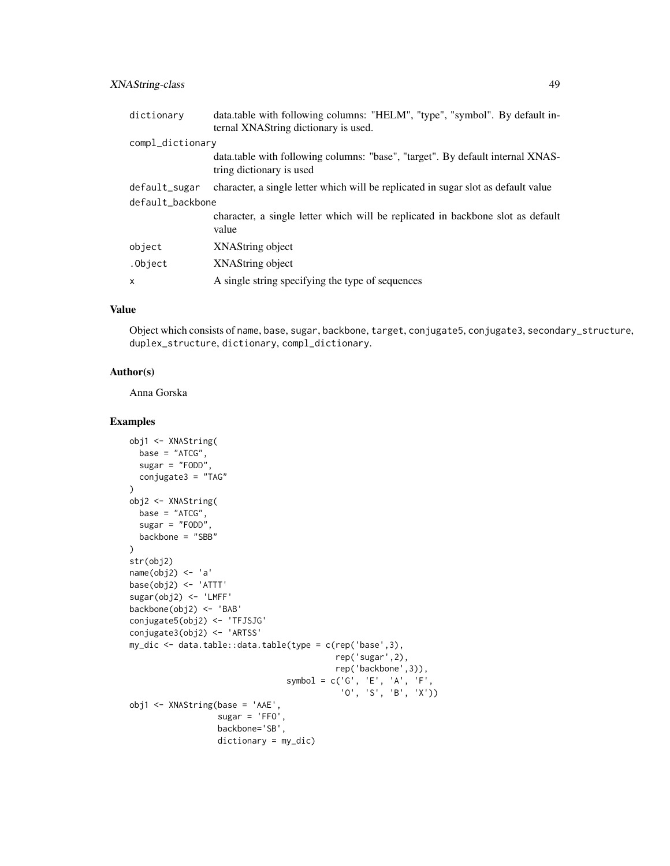# XNAString-class 49

| dictionary       | data.table with following columns: "HELM", "type", "symbol". By default in-<br>ternal XNAString dictionary is used. |  |
|------------------|---------------------------------------------------------------------------------------------------------------------|--|
| compl_dictionary |                                                                                                                     |  |
|                  | data.table with following columns: "base", "target". By default internal XNAS-<br>tring dictionary is used          |  |
| default_sugar    | character, a single letter which will be replicated in sugar slot as default value                                  |  |
| default_backbone |                                                                                                                     |  |
|                  | character, a single letter which will be replicated in backbone slot as default<br>value                            |  |
| object           | XNAString object                                                                                                    |  |
| .Object          | XNAString object                                                                                                    |  |
| $\mathsf{x}$     | A single string specifying the type of sequences                                                                    |  |

# Value

Object which consists of name, base, sugar, backbone, target, conjugate5, conjugate3, secondary\_structure, duplex\_structure, dictionary, compl\_dictionary.

#### Author(s)

Anna Gorska

```
obj1 <- XNAString(
 base = "ATCG",sugar = "FODD",conjugate3 = "TAG"
\lambdaobj2 <- XNAString(
base = "ATCG",sugar = "FODD",
 backbone = "SBB"
\mathcal{L}str(obj2)
name(obj2) <- 'a'
base(obj2) <- 'ATTT'
sugar(obj2) <- 'LMFF'
backbone(obj2) <- 'BAB'
conjugate5(obj2) <- 'TFJSJG'
conjugate3(obj2) <- 'ARTSS'
my_dic <- data.table::data.table(type = c(rep('base',3),
                                           rep('sugar',2),
                                           rep('backbone',3)),
                                 symbol = c('G', 'E', 'A', 'F',
                                             'O', 'S', 'B', 'X'))
obj1 <- XNAString(base = 'AAE',
                  sugar = 'FFO',backbone='SB',
                  dictionary = my_dic)
```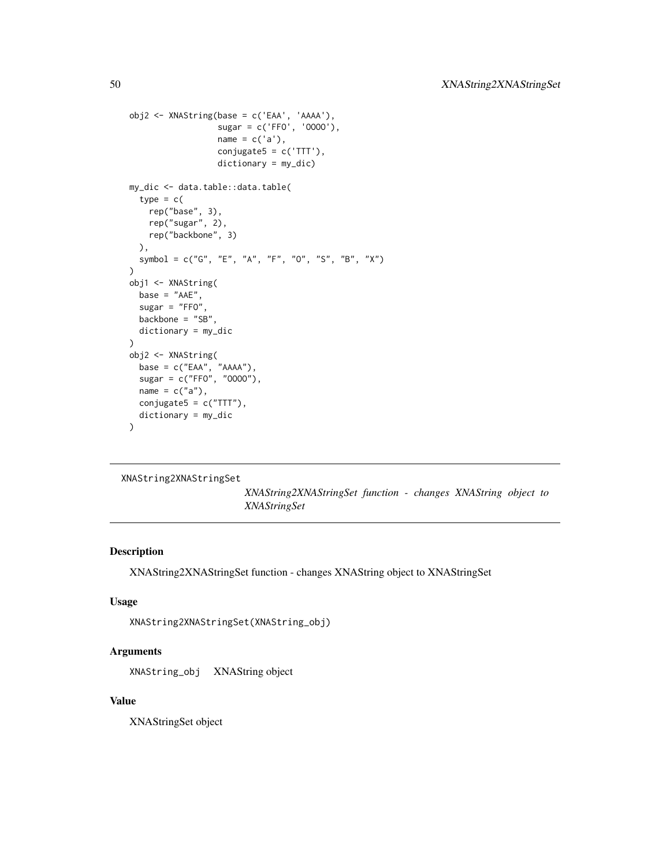```
obj2 <- XNAString(base = c('EAA', 'AAAA'),
                  sugar = c('FFO', 'OOOO'),
                  name = c('a'),conjugate5 = c('TTT'),dictionary = my_dic)
my_dic <- data.table::data.table(
  type = c(rep("base", 3),
    rep("sugar", 2),
    rep("backbone", 3)
  ),
  symbol = c("G", "E", "A", "F", "O", "S", "B", "X")
\mathcal{L}obj1 <- XNAString(
  base = "AAE",
  sugar = "FFO"backbone = "SB",
  dictionary = my_dic
)
obj2 <- XNAString(
  base = c("EAA", "AAAA"),
  sugar = c("FFO", "OOOO"),
  name = c("a"),
  conjugate5 = c("TTT"),
  dictionary = my_dic
\mathcal{L}
```

```
XNAString2XNAStringSet
```
*XNAString2XNAStringSet function - changes XNAString object to XNAStringSet*

#### Description

XNAString2XNAStringSet function - changes XNAString object to XNAStringSet

# Usage

```
XNAString2XNAStringSet(XNAString_obj)
```
#### Arguments

XNAString\_obj XNAString object

#### Value

XNAStringSet object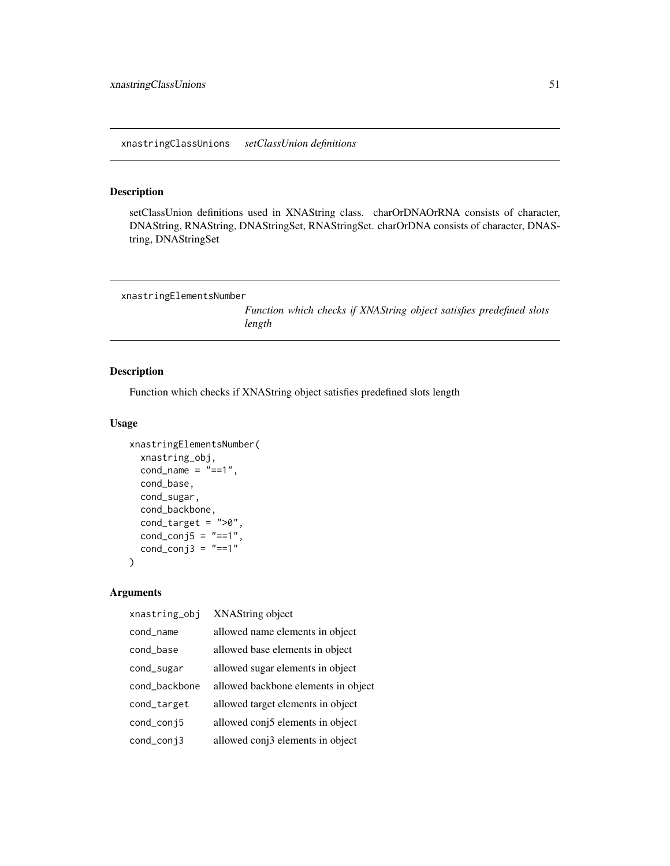<span id="page-50-0"></span>xnastringClassUnions *setClassUnion definitions*

# Description

setClassUnion definitions used in XNAString class. charOrDNAOrRNA consists of character, DNAString, RNAString, DNAStringSet, RNAStringSet. charOrDNA consists of character, DNAString, DNAStringSet

```
xnastringElementsNumber
```
*Function which checks if XNAString object satisfies predefined slots length*

# Description

Function which checks if XNAString object satisfies predefined slots length

#### Usage

```
xnastringElementsNumber(
  xnastring_obj,
  cond_name = "==1",
  cond_base,
  cond_sugar,
  cond_backbone,
  cond_target = ">\!\!0",
 cond\_conj5 = "==1",cond_conj3 = "==1")
```

| xnastring_obj | XNAString object                    |
|---------------|-------------------------------------|
| cond_name     | allowed name elements in object     |
| cond base     | allowed base elements in object     |
| cond_sugar    | allowed sugar elements in object    |
| cond backbone | allowed backbone elements in object |
| cond_target   | allowed target elements in object   |
| cond_conj5    | allowed conj5 elements in object    |
| cond_conj3    | allowed conj3 elements in object    |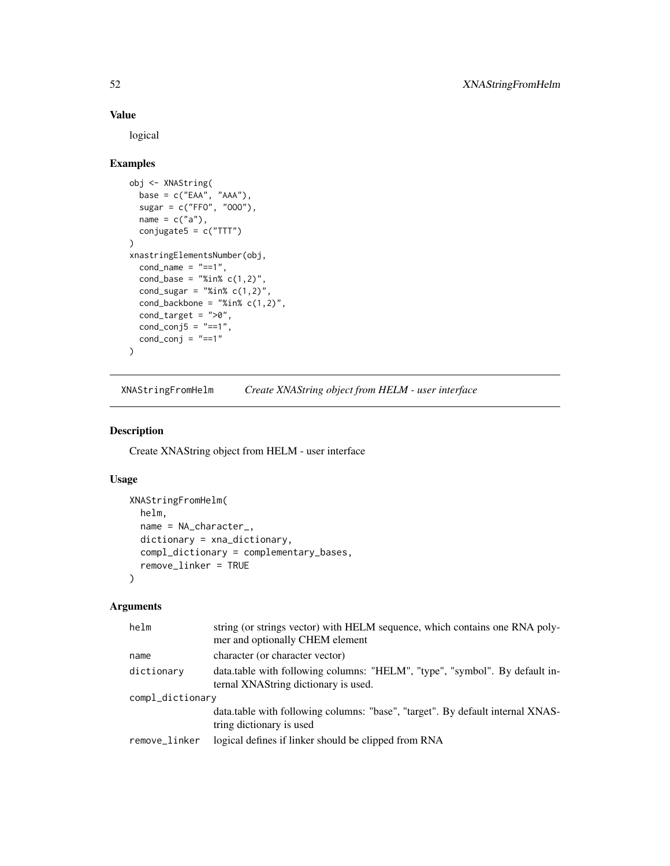#### Value

logical

# Examples

```
obj <- XNAString(
  base = c("EAA", "AAA"),sugar = c("FF0", "000"),name = c("a"),
  conjugate5 = c("TTT")
)
xnastringElementsNumber(obj,
  cond_name = "==1",
  cond\_base = "%in% c(1,2)",cond_sugar = "%in% c(1,2)",
  cond_backbone = "XinX c(1,2)",
  cond_target = ">0",
  cond\_conj5 = "==1",cond_conj = "==1"\mathcal{L}
```
XNAStringFromHelm *Create XNAString object from HELM - user interface*

#### Description

Create XNAString object from HELM - user interface

#### Usage

```
XNAStringFromHelm(
  helm,
  name = NA_character_,
  dictionary = xna_dictionary,
  compl_dictionary = complementary_bases,
  remove_linker = TRUE
)
```

| helm             | string (or strings vector) with HELM sequence, which contains one RNA poly-<br>mer and optionally CHEM element      |  |
|------------------|---------------------------------------------------------------------------------------------------------------------|--|
| name             | character (or character vector)                                                                                     |  |
| dictionary       | data.table with following columns: "HELM", "type", "symbol". By default in-<br>ternal XNAString dictionary is used. |  |
| compl_dictionary |                                                                                                                     |  |
|                  | data.table with following columns: "base", "target". By default internal XNAS-<br>tring dictionary is used          |  |
| remove_linker    | logical defines if linker should be clipped from RNA                                                                |  |
|                  |                                                                                                                     |  |

<span id="page-51-0"></span>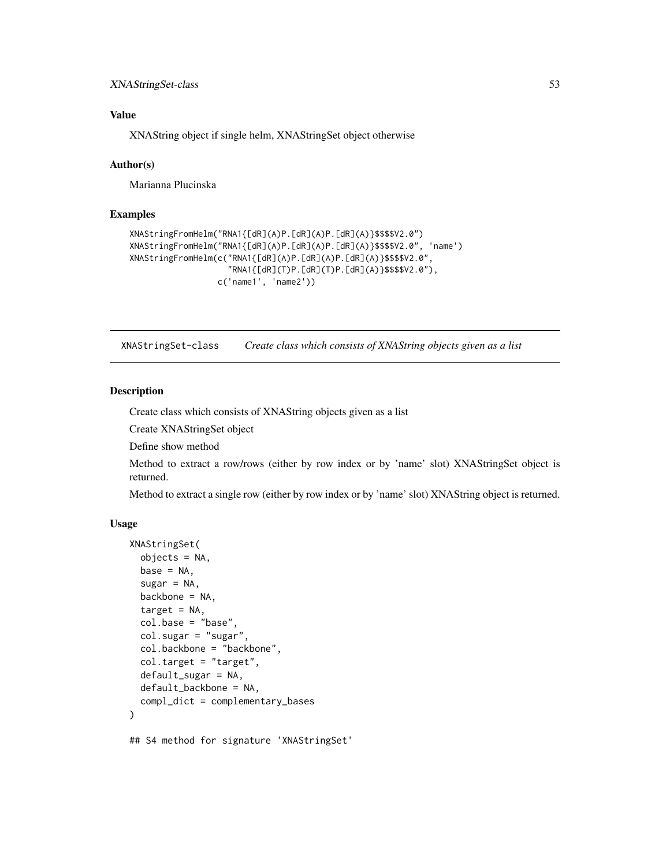# <span id="page-52-0"></span>XNAStringSet-class 53

# Value

XNAString object if single helm, XNAStringSet object otherwise

#### Author(s)

Marianna Plucinska

#### Examples

```
XNAStringFromHelm("RNA1{[dR](A)P.[dR](A)P.[dR](A)}$$$$V2.0")
XNAStringFromHelm("RNA1{[dR](A)P.[dR](A)P.[dR](A)}$$$$V2.0", 'name')
XNAStringFromHelm(c("RNA1{[dR](A)P.[dR](A)P.[dR](A)}$$$$V2.0",
                    "RNA1{[dR](T)P.[dR](T)P.[dR](A)}$$$$V2.0"),
                  c('name1', 'name2'))
```
XNAStringSet-class *Create class which consists of XNAString objects given as a list*

#### Description

Create class which consists of XNAString objects given as a list

Create XNAStringSet object

Define show method

Method to extract a row/rows (either by row index or by 'name' slot) XNAStringSet object is returned.

Method to extract a single row (either by row index or by 'name' slot) XNAString object is returned.

```
XNAStringSet(
  objects = NA,
  base = NA,
  sugar = NA,
  backbone = NA,
  target = NA,
  col.\nbase = "base",
  col.sugar = "sugar",
  col.backbone = "backbone",
  col.target = "target",
  default_sugar = NA,
  default_backbone = NA,
  compl_dict = complementary_bases
\lambda## S4 method for signature 'XNAStringSet'
```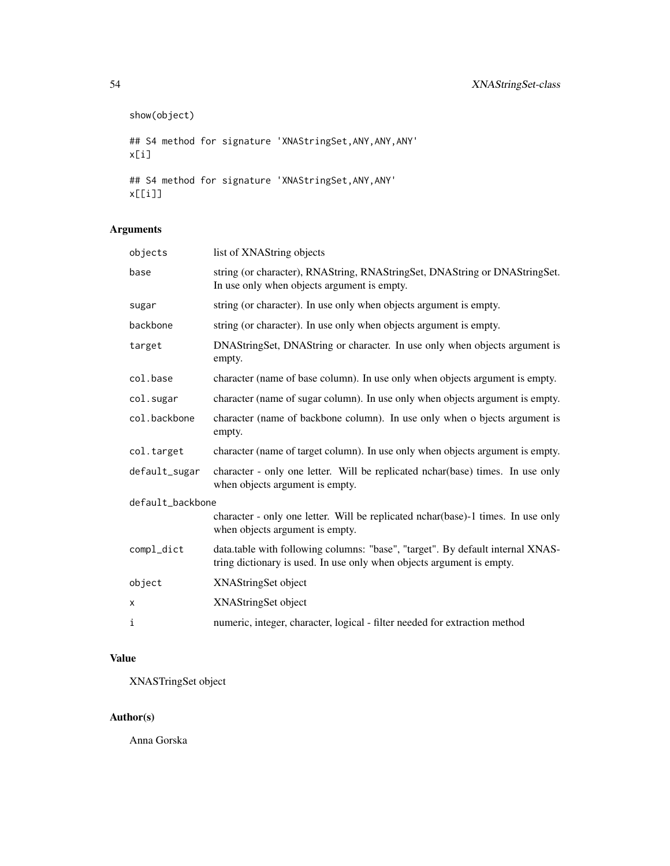```
show(object)
## S4 method for signature 'XNAStringSet, ANY, ANY, ANY'
x[i]
## S4 method for signature 'XNAStringSet,ANY,ANY'
x[[i]]
```
# Arguments

| objects          | list of XNAString objects                                                                                                                               |
|------------------|---------------------------------------------------------------------------------------------------------------------------------------------------------|
| base             | string (or character), RNAString, RNAStringSet, DNAString or DNAStringSet.<br>In use only when objects argument is empty.                               |
| sugar            | string (or character). In use only when objects argument is empty.                                                                                      |
| backbone         | string (or character). In use only when objects argument is empty.                                                                                      |
| target           | DNAStringSet, DNAString or character. In use only when objects argument is<br>empty.                                                                    |
| col.base         | character (name of base column). In use only when objects argument is empty.                                                                            |
| col.sugar        | character (name of sugar column). In use only when objects argument is empty.                                                                           |
| col.backbone     | character (name of backbone column). In use only when o bjects argument is<br>empty.                                                                    |
| col.target       | character (name of target column). In use only when objects argument is empty.                                                                          |
| default_sugar    | character - only one letter. Will be replicated nchar(base) times. In use only<br>when objects argument is empty.                                       |
| default_backbone |                                                                                                                                                         |
|                  | character - only one letter. Will be replicated nchar(base)-1 times. In use only<br>when objects argument is empty.                                     |
| compl_dict       | data.table with following columns: "base", "target". By default internal XNAS-<br>tring dictionary is used. In use only when objects argument is empty. |
| object           | XNAStringSet object                                                                                                                                     |
| X                | XNAStringSet object                                                                                                                                     |
| i                | numeric, integer, character, logical - filter needed for extraction method                                                                              |

# Value

XNASTringSet object

# Author(s)

Anna Gorska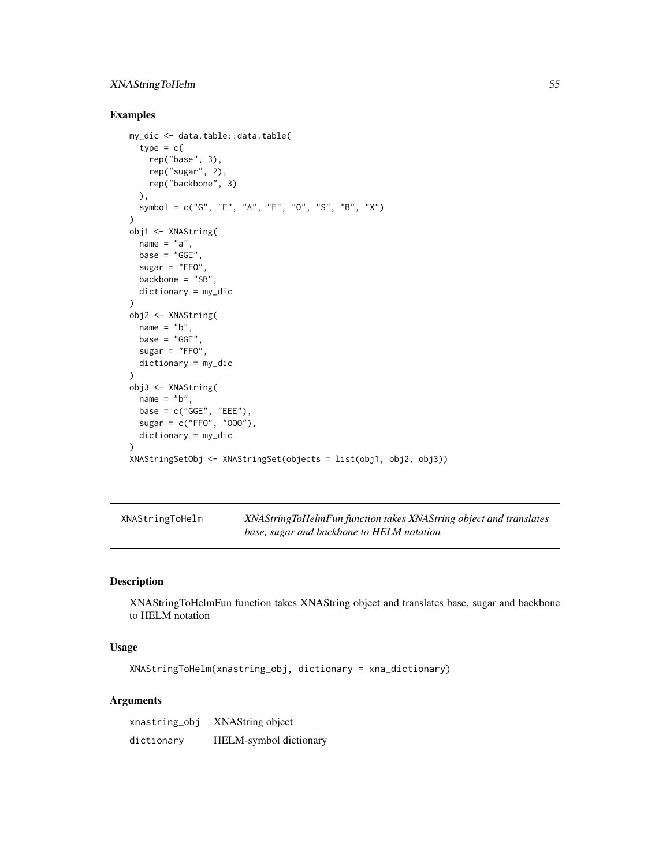# <span id="page-54-0"></span>XNAStringToHelm 55

# Examples

```
my_dic <- data.table::data.table(
 type = c(rep("base", 3),
   rep("sugar", 2),
   rep("backbone", 3)
  ),
  symbol = c("G", "E", "A", "F", "O", "S", "B", "X")
)
obj1 <- XNAString(
 name = "a",base = "GGE"sugar = "FFO",backbone = "SB",
 dictionary = my_dic
\lambdaobj2 <- XNAString(
 name = "b",base = "GGE"sugar = "FFO",dictionary = my_dic
)
obj3 <- XNAString(
 name = "b",
 base = c("GGE", "EEE"),
  sugar = c("FF0", "000"),dictionary = my_dic
)
XNAStringSetObj <- XNAStringSet(objects = list(obj1, obj2, obj3))
```

| XNAStringToHelm | XNAStringToHelmFun function takes XNAString object and translates |
|-----------------|-------------------------------------------------------------------|
|                 | base, sugar and backbone to HELM notation                         |

# Description

XNAStringToHelmFun function takes XNAString object and translates base, sugar and backbone to HELM notation

# Usage

XNAStringToHelm(xnastring\_obj, dictionary = xna\_dictionary)

| xnastring_obj | XNAString object       |
|---------------|------------------------|
| dictionary    | HELM-symbol dictionary |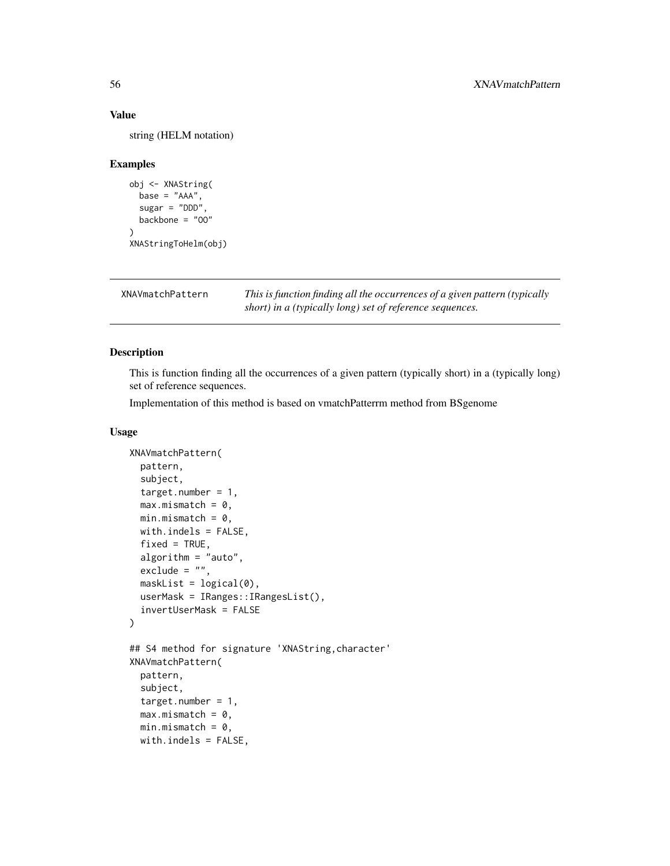#### Value

string (HELM notation)

#### Examples

```
obj <- XNAString(
  base = "AAA",sugar = "DDD"backbone = "OO"
)
XNAStringToHelm(obj)
```
XNAVmatchPattern *This is function finding all the occurrences of a given pattern (typically short) in a (typically long) set of reference sequences.*

# Description

This is function finding all the occurrences of a given pattern (typically short) in a (typically long) set of reference sequences.

Implementation of this method is based on vmatchPatterrm method from BSgenome

```
XNAVmatchPattern(
  pattern,
  subject,
  target.number = 1,
  max.mismatch = 0,min.mistch = 0,
  with.indels = FALSE,
  fixed = TRUE,algorithm = "auto",
  \text{exclude} = "",maskList = logical(0),
  userMask = IRanges::IRangesList(),
  invertUserMask = FALSE
)
## S4 method for signature 'XNAString, character'
XNAVmatchPattern(
  pattern,
  subject,
  target.number = 1,
  max.mismatch = 0,
  min.mistch = 0,
  with.indels = FALSE,
```
<span id="page-55-0"></span>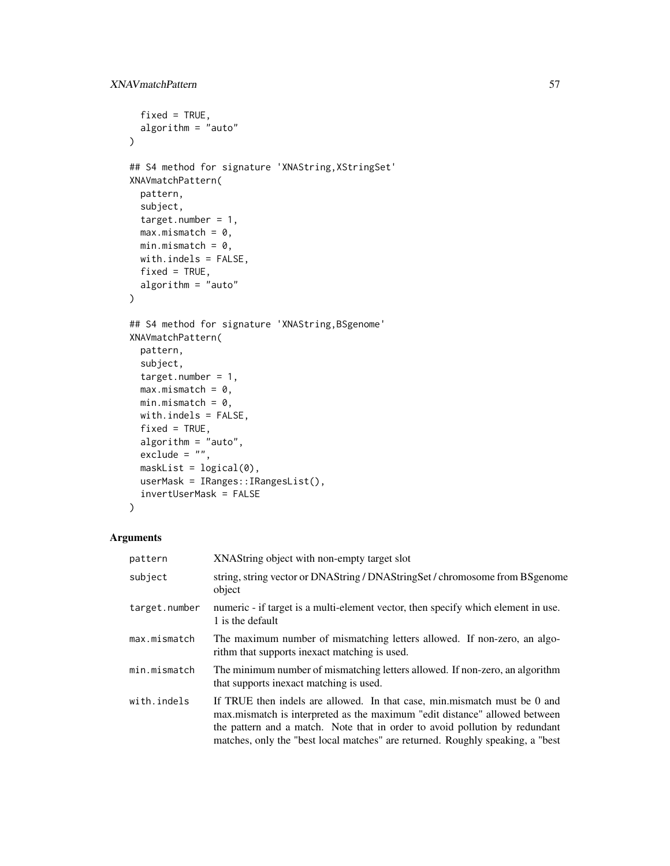```
fixed = TRUE,algorithm = "auto"
\lambda## S4 method for signature 'XNAString,XStringSet'
XNAVmatchPattern(
 pattern,
  subject,
  target.number = 1,
 max.mismatch = 0,min.mistch = 0,
 with.indels = FALSE,
 fixed = TRUE,algorithm = "auto"
\mathcal{L}## S4 method for signature 'XNAString,BSgenome'
XNAVmatchPattern(
 pattern,
  subject,
  target.number = 1,
 max.mismatch = 0,min.mistch = 0,
 with.indels = FALSE,
  fixed = TRUE,algorithm = "auto",
  exclude = ",
 maskList = logical(0),
 userMask = IRanges::IRangesList(),
  invertUserMask = FALSE
\mathcal{L}
```

| pattern       | XNAString object with non-empty target slot                                                                                                                                                                                                                                                                              |
|---------------|--------------------------------------------------------------------------------------------------------------------------------------------------------------------------------------------------------------------------------------------------------------------------------------------------------------------------|
| subject       | string, string vector or DNAString / DNAStringSet / chromosome from BSgenome<br>object                                                                                                                                                                                                                                   |
| target.number | numeric - if target is a multi-element vector, then specify which element in use.<br>1 is the default                                                                                                                                                                                                                    |
| max.mismatch  | The maximum number of mismatching letters allowed. If non-zero, an algo-<br>rithm that supports inexact matching is used.                                                                                                                                                                                                |
| min.mismatch  | The minimum number of mismatching letters allowed. If non-zero, an algorithm<br>that supports inexact matching is used.                                                                                                                                                                                                  |
| with.indels   | If TRUE then indels are allowed. In that case, min.mismatch must be 0 and<br>max mismatch is interpreted as the maximum "edit distance" allowed between<br>the pattern and a match. Note that in order to avoid pollution by redundant<br>matches, only the "best local matches" are returned. Roughly speaking, a "best |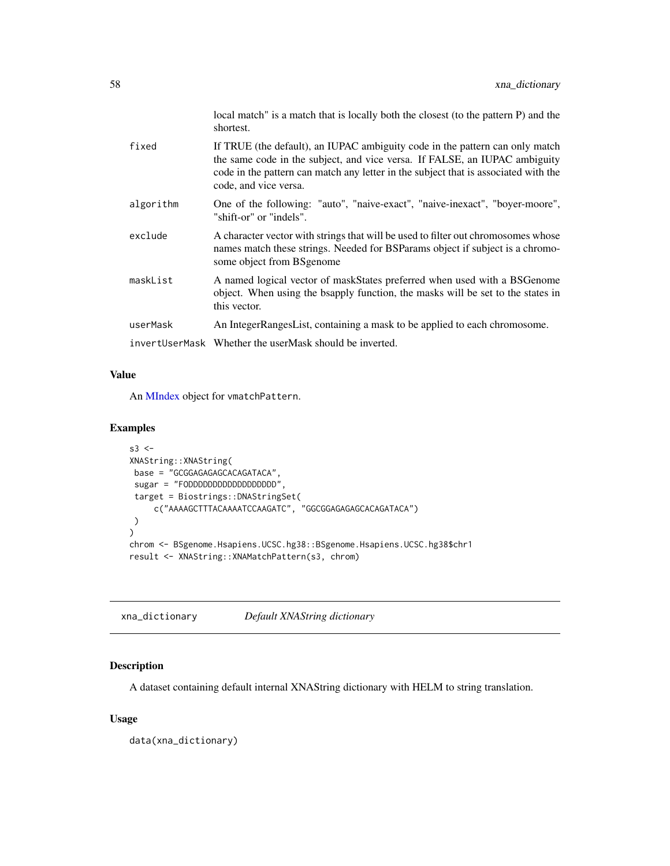<span id="page-57-0"></span>

|           | local match" is a match that is locally both the closest (to the pattern P) and the<br>shortest.                                                                                                                                                                           |
|-----------|----------------------------------------------------------------------------------------------------------------------------------------------------------------------------------------------------------------------------------------------------------------------------|
| fixed     | If TRUE (the default), an IUPAC ambiguity code in the pattern can only match<br>the same code in the subject, and vice versa. If FALSE, an IUPAC ambiguity<br>code in the pattern can match any letter in the subject that is associated with the<br>code, and vice versa. |
| algorithm | One of the following: "auto", "naive-exact", "naive-inexact", "boyer-moore",<br>"shift-or" or "indels".                                                                                                                                                                    |
| exclude   | A character vector with strings that will be used to filter out chromosomes whose<br>names match these strings. Needed for BSParams object if subject is a chromo-<br>some object from BSgenome                                                                            |
| maskList  | A named logical vector of maskStates preferred when used with a BSGenome<br>object. When using the bsapply function, the masks will be set to the states in<br>this vector.                                                                                                |
| userMask  | An IntegerRangesList, containing a mask to be applied to each chromosome.                                                                                                                                                                                                  |
|           | invertUserMask Whether the userMask should be inverted.                                                                                                                                                                                                                    |

#### Value

An [MIndex](#page-0-0) object for vmatchPattern.

#### Examples

```
s3 < -XNAString::XNAString(
base = "GCGGAGAGAGCACAGATACA",
 sugar = "FODDDDDDDDDDDDDDDDDD",
 target = Biostrings::DNAStringSet(
     c("AAAAGCTTTACAAAATCCAAGATC", "GGCGGAGAGAGCACAGATACA")
)
)
chrom <- BSgenome.Hsapiens.UCSC.hg38::BSgenome.Hsapiens.UCSC.hg38$chr1
result <- XNAString::XNAMatchPattern(s3, chrom)
```
xna\_dictionary *Default XNAString dictionary*

# Description

A dataset containing default internal XNAString dictionary with HELM to string translation.

#### Usage

data(xna\_dictionary)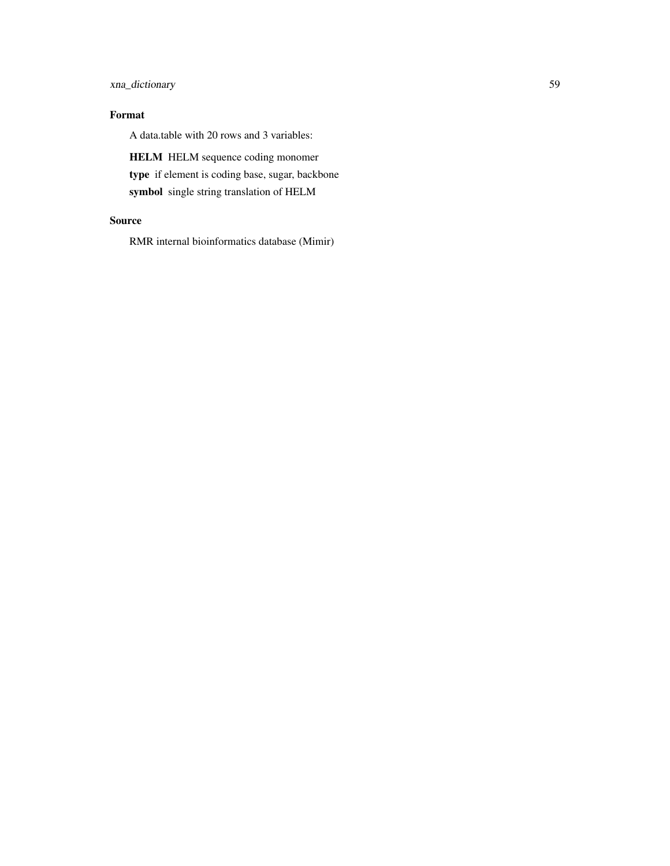# xna\_dictionary 59

# Format

A data.table with 20 rows and 3 variables:

HELM HELM sequence coding monomer type if element is coding base, sugar, backbone symbol single string translation of HELM

# Source

RMR internal bioinformatics database (Mimir)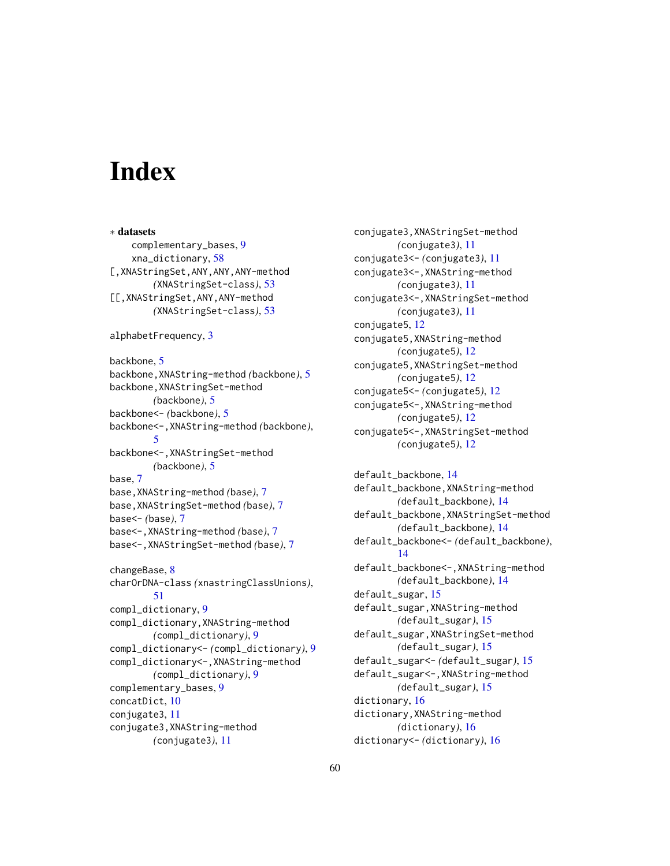# <span id="page-59-0"></span>**Index**

∗ datasets complementary\_bases, [9](#page-8-0) xna\_dictionary, [58](#page-57-0) [,XNAStringSet,ANY,ANY,ANY-method *(*XNAStringSet-class*)*, [53](#page-52-0) [[,XNAStringSet,ANY,ANY-method *(*XNAStringSet-class*)*, [53](#page-52-0) alphabetFrequency, [3](#page-2-0) backbone, [5](#page-4-0) backbone,XNAString-method *(*backbone*)*, [5](#page-4-0) backbone,XNAStringSet-method *(*backbone*)*, [5](#page-4-0) backbone<- *(*backbone*)*, [5](#page-4-0) backbone<-,XNAString-method *(*backbone*)*, [5](#page-4-0) backbone<-,XNAStringSet-method *(*backbone*)*, [5](#page-4-0) base, [7](#page-6-0) base,XNAString-method *(*base*)*, [7](#page-6-0) base,XNAStringSet-method *(*base*)*, [7](#page-6-0) base<- *(*base*)*, [7](#page-6-0) base<-,XNAString-method *(*base*)*, [7](#page-6-0) base<-,XNAStringSet-method *(*base*)*, [7](#page-6-0) changeBase, [8](#page-7-0) charOrDNA-class *(*xnastringClassUnions*)*, [51](#page-50-0) compl\_dictionary, [9](#page-8-0) compl\_dictionary,XNAString-method *(*compl\_dictionary*)*, [9](#page-8-0) compl\_dictionary<- *(*compl\_dictionary*)*, [9](#page-8-0) compl\_dictionary<-,XNAString-method *(*compl\_dictionary*)*, [9](#page-8-0) complementary\_bases, [9](#page-8-0) concatDict, [10](#page-9-0) conjugate3, [11](#page-10-0) conjugate3,XNAString-method *(*conjugate3*)*, [11](#page-10-0)

conjugate3,XNAStringSet-method *(*conjugate3*)*, [11](#page-10-0) conjugate3<- *(*conjugate3*)*, [11](#page-10-0) conjugate3<-,XNAString-method *(*conjugate3*)*, [11](#page-10-0) conjugate3<-,XNAStringSet-method *(*conjugate3*)*, [11](#page-10-0) conjugate5, [12](#page-11-0) conjugate5,XNAString-method *(*conjugate5*)*, [12](#page-11-0) conjugate5,XNAStringSet-method *(*conjugate5*)*, [12](#page-11-0) conjugate5<- *(*conjugate5*)*, [12](#page-11-0) conjugate5<-,XNAString-method *(*conjugate5*)*, [12](#page-11-0) conjugate5<-,XNAStringSet-method *(*conjugate5*)*, [12](#page-11-0)

default\_backbone, [14](#page-13-0) default\_backbone,XNAString-method *(*default\_backbone*)*, [14](#page-13-0) default\_backbone,XNAStringSet-method *(*default\_backbone*)*, [14](#page-13-0) default\_backbone<- *(*default\_backbone*)*, [14](#page-13-0) default\_backbone<-,XNAString-method *(*default\_backbone*)*, [14](#page-13-0) default\_sugar, [15](#page-14-0) default\_sugar,XNAString-method *(*default\_sugar*)*, [15](#page-14-0) default\_sugar,XNAStringSet-method *(*default\_sugar*)*, [15](#page-14-0) default\_sugar<- *(*default\_sugar*)*, [15](#page-14-0) default\_sugar<-,XNAString-method *(*default\_sugar*)*, [15](#page-14-0) dictionary, [16](#page-15-0) dictionary,XNAString-method *(*dictionary*)*, [16](#page-15-0) dictionary<- *(*dictionary*)*, [16](#page-15-0)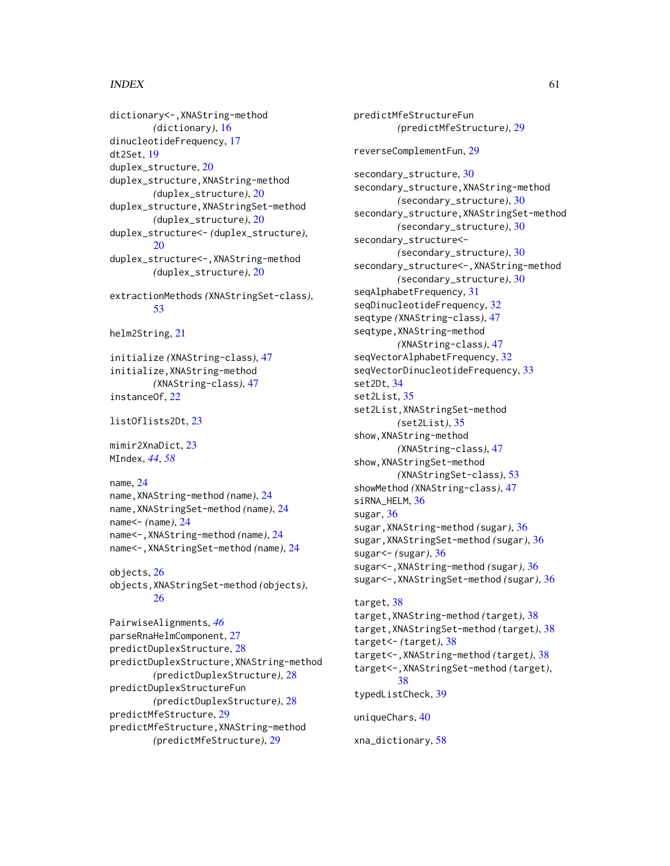#### $I$ NDEX 61

dictionary<-,XNAString-method *(*dictionary*)*, [16](#page-15-0) dinucleotideFrequency, [17](#page-16-0) dt2Set, [19](#page-18-0) duplex\_structure, [20](#page-19-0) duplex\_structure,XNAString-method *(*duplex\_structure*)*, [20](#page-19-0) duplex\_structure,XNAStringSet-method *(*duplex\_structure*)*, [20](#page-19-0) duplex\_structure<- *(*duplex\_structure*)*, [20](#page-19-0) duplex\_structure<-,XNAString-method *(*duplex\_structure*)*, [20](#page-19-0) extractionMethods *(*XNAStringSet-class*)*, [53](#page-52-0) helm2String, [21](#page-20-0) initialize *(*XNAString-class*)*, [47](#page-46-0) initialize,XNAString-method *(*XNAString-class*)*, [47](#page-46-0) instanceOf, [22](#page-21-0) listOflists2Dt, [23](#page-22-0) mimir2XnaDict, [23](#page-22-0) MIndex, *[44](#page-43-0)*, *[58](#page-57-0)* name, [24](#page-23-0) name,XNAString-method *(*name*)*, [24](#page-23-0) name,XNAStringSet-method *(*name*)*, [24](#page-23-0) name<- *(*name*)*, [24](#page-23-0) name<-,XNAString-method *(*name*)*, [24](#page-23-0) name<-,XNAStringSet-method *(*name*)*, [24](#page-23-0) objects, [26](#page-25-0) objects,XNAStringSet-method *(*objects*)*, [26](#page-25-0) PairwiseAlignments, *[46](#page-45-0)* parseRnaHelmComponent, [27](#page-26-0) predictDuplexStructure, [28](#page-27-0) predictDuplexStructure,XNAString-method *(*predictDuplexStructure*)*, [28](#page-27-0) predictDuplexStructureFun *(*predictDuplexStructure*)*, [28](#page-27-0) predictMfeStructure, [29](#page-28-0) predictMfeStructure,XNAString-method

*(*predictMfeStructure*)*, [29](#page-28-0)

predictMfeStructureFun *(*predictMfeStructure*)*, [29](#page-28-0) reverseComplementFun, [29](#page-28-0) secondary\_structure, [30](#page-29-0) secondary\_structure,XNAString-method *(*secondary\_structure*)*, [30](#page-29-0) secondary\_structure,XNAStringSet-method *(*secondary\_structure*)*, [30](#page-29-0) secondary\_structure<- *(*secondary\_structure*)*, [30](#page-29-0) secondary\_structure<-,XNAString-method *(*secondary\_structure*)*, [30](#page-29-0) seqAlphabetFrequency, [31](#page-30-0) seqDinucleotideFrequency, [32](#page-31-0) seqtype *(*XNAString-class*)*, [47](#page-46-0) seqtype,XNAString-method *(*XNAString-class*)*, [47](#page-46-0) seqVectorAlphabetFrequency, [32](#page-31-0) seqVectorDinucleotideFrequency, [33](#page-32-0) set2Dt, [34](#page-33-0) set2List, [35](#page-34-0) set2List,XNAStringSet-method *(*set2List*)*, [35](#page-34-0) show,XNAString-method *(*XNAString-class*)*, [47](#page-46-0) show,XNAStringSet-method *(*XNAStringSet-class*)*, [53](#page-52-0) showMethod *(*XNAString-class*)*, [47](#page-46-0) siRNA\_HELM, [36](#page-35-0) sugar, [36](#page-35-0) sugar,XNAString-method *(*sugar*)*, [36](#page-35-0) sugar,XNAStringSet-method *(*sugar*)*, [36](#page-35-0) sugar<- *(*sugar*)*, [36](#page-35-0) sugar<-,XNAString-method *(*sugar*)*, [36](#page-35-0) sugar<-,XNAStringSet-method *(*sugar*)*, [36](#page-35-0) target, [38](#page-37-0) target,XNAString-method *(*target*)*, [38](#page-37-0) target,XNAStringSet-method *(*target*)*, [38](#page-37-0) target<- *(*target*)*, [38](#page-37-0) target<-,XNAString-method *(*target*)*, [38](#page-37-0) target<-,XNAStringSet-method *(*target*)*, [38](#page-37-0) typedListCheck, [39](#page-38-0) uniqueChars, [40](#page-39-0) xna\_dictionary, [58](#page-57-0)